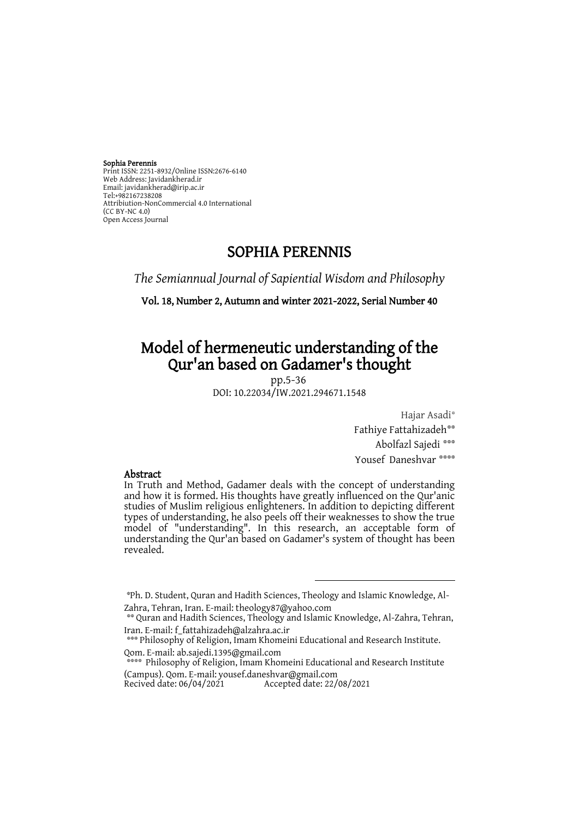#### Sophia Perennis

Print ISSN: 2251-8932/Online ISSN:2676-6140 Web Address: Javidankherad.ir Email[: javidankherad@irip.ac.ir](mailto:javidankherad@irip.ac.ir) [Tel:+982167238208](tel:+982167238208) Attribiution-NonCommercial 4.0 International (CC BY-NC 4.0) Open Access Journal

## SOPHIA PERENNIS

*The Semiannual Journal of Sapiential Wisdom and Philosophy*

Vol. 18, Number 2, Autumn and winter 2021-2022, Serial Number 40

# Model of hermeneutic understanding of the Qur'an based on Gadamer's thought

pp.5-36 DOI: 10.22034/IW.2021.294671.1548

> Hajar Asadi\* Fathiye Fattahizadeh\*\* \*\*\* Abolfazl Sajedi

Yousef Daneshvar \*\*\*\*\*

#### Abstract

In Truth and Method, Gadamer deals with the concept of understanding and how it is formed. His thoughts have greatly influenced on the Qur'anic studies of Muslim religious enlighteners. In addition to depicting different types of understanding, he also peels off their weaknesses to show the true model of "understanding". In this research, an acceptable form of understanding the Qur'an based on Gadamer's system of thought has been revealed.

 $\overline{a}$ 

\*\*\*\* Philosophy of Religion, Imam Khomeini Educational and Research Institute (Campus). Qom. E-mail: yousef.daneshvar@gmail.com

Accepted date: 22/08/2021

<sup>\*</sup>Ph. D. Student, Quran and Hadith Sciences, Theology and Islamic Knowledge, Al-Zahra, Tehran, Iran. E-mail: theology87@yahoo.com

<sup>\*\*</sup> Quran and Hadith Sciences, Theology and Islamic Knowledge, Al-Zahra, Tehran, Iran. E-mail: f\_fattahizadeh@alzahra.ac.ir

<sup>\*\*\*</sup> Philosophy of Religion, Imam Khomeini Educational and Research Institute. Qom. E-mail: ab.sajedi.1395@gmail.com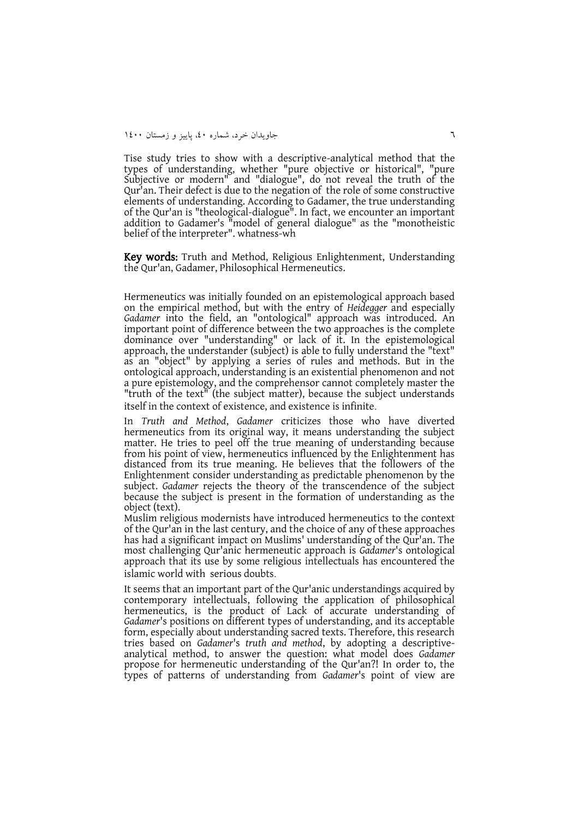Tise study tries to show with a descriptive-analytical method that the types of understanding, whether "pure objective or historical", "pure Subjective or modern" and "dialogue", do not reveal the truth of the Qur'an. Their defect is due to the negation of the role of some constructive elements of understanding. According to Gadamer, the true understanding of the Qur'an is "theological-dialogue". In fact, we encounter an important addition to Gadamer's "model of general dialogue" as the "monotheistic belief of the interpreter". whatness-wh

Key words: Truth and Method, Religious Enlightenment, Understanding the Qur'an, Gadamer, Philosophical Hermeneutics.

Hermeneutics was initially founded on an epistemological approach based on the empirical method, but with the entry of *Heidegger* and especially *Gadamer* into the field, an "ontological" approach was introduced. An important point of difference between the two approaches is the complete dominance over "understanding" or lack of it. In the epistemological approach, the understander (subject) is able to fully understand the "text" as an "object" by applying a series of rules and methods. But in the ontological approach, understanding is an existential phenomenon and not a pure epistemology, and the comprehensor cannot completely master the "truth of the text" (the subject matter), because the subject understands itself in the context of existence, and existence is infinite.

In *Truth and Method*, *Gadamer* criticizes those who have diverted hermeneutics from its original way, it means understanding the subject matter. He tries to peel off the true meaning of understanding because from his point of view, hermeneutics influenced by the Enlightenment has distanced from its true meaning. He believes that the followers of the Enlightenment consider understanding as predictable phenomenon by the subject. *Gadamer* rejects the theory of the transcendence of the subject because the subject is present in the formation of understanding as the object (text).

Muslim religious modernists have introduced hermeneutics to the context of the Qur'an in the last century, and the choice of any of these approaches has had a significant impact on Muslims' understanding of the Qur'an. The most challenging Qur'anic hermeneutic approach is *Gadamer*'s ontological approach that its use by some religious intellectuals has encountered the islamic world with serious doubts.

It seems that an important part of the Qur'anic understandings acquired by contemporary intellectuals, following the application of philosophical hermeneutics, is the product of Lack of accurate understanding of *Gadamer*'s positions on different types of understanding, and its acceptable form, especially about understanding sacred texts. Therefore, this research tries based on *Gadamer*'s *truth and method*, by adopting a descriptiveanalytical method, to answer the question: what model does *Gadamer* propose for hermeneutic understanding of the Qur'an?! In order to, the types of patterns of understanding from *Gadamer*'s point of view are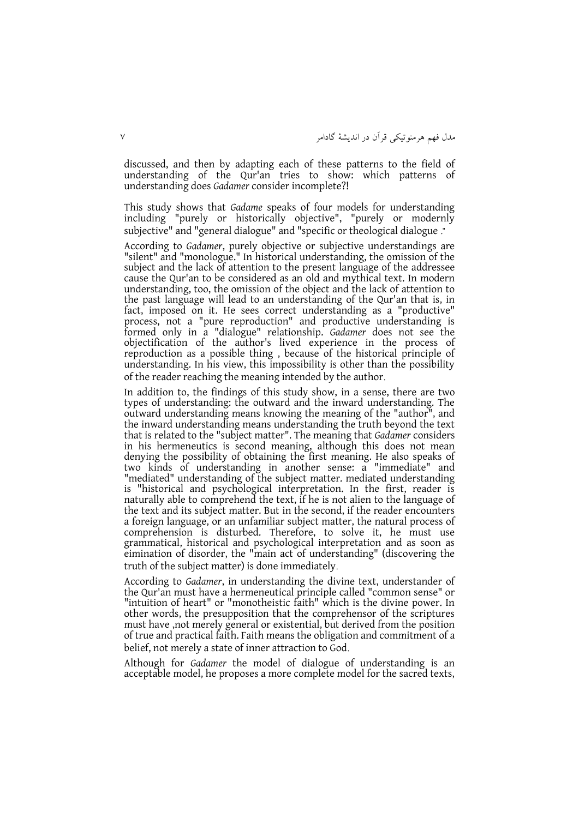discussed, and then by adapting each of these patterns to the field of understanding of the Qur'an tries to show: which patterns of understanding does *Gadamer* consider incomplete?!

This study shows that *Gadame* speaks of four models for understanding including "purely or historically objective", "purely or modernly subjective" and "general dialogue" and "specific or theological dialogue ."

According to *Gadamer*, purely objective or subjective understandings are "silent" and "monologue." In historical understanding, the omission of the subject and the lack of attention to the present language of the addressee cause the Qur'an to be considered as an old and mythical text. In modern understanding, too, the omission of the object and the lack of attention to the past language will lead to an understanding of the Qur'an that is, in fact, imposed on it. He sees correct understanding as a "productive" process, not a "pure reproduction" and productive understanding is formed only in a "dialogue" relationship. *Gadamer* does not see the objectification of the author's lived experience in the process of reproduction as a possible thing , because of the historical principle of understanding. In his view, this impossibility is other than the possibility of the reader reaching the meaning intended by the author.

In addition to, the findings of this study show, in a sense, there are two types of understanding: the outward and the inward understanding. The outward understanding means knowing the meaning of the "author", and the inward understanding means understanding the truth beyond the text that is related to the "subject matter". The meaning that *Gadamer* considers in his hermeneutics is second meaning, although this does not mean denying the possibility of obtaining the first meaning. He also speaks of two kinds of understanding in another sense: a "immediate" and "mediated" understanding of the subject matter. mediated understanding is "historical and psychological interpretation. In the first, reader is naturally able to comprehend the text, if he is not alien to the language of the text and its subject matter. But in the second, if the reader encounters a foreign language, or an unfamiliar subject matter, the natural process of comprehension is disturbed. Therefore, to solve it, he must use grammatical, historical and psychological interpretation and as soon as eimination of disorder, the "main act of understanding" (discovering the truth of the subject matter) is done immediately.

According to *Gadamer*, in understanding the divine text, understander of the Qur'an must have a hermeneutical principle called "common sense" or "intuition of heart" or "monotheistic faith" which is the divine power. In other words, the presupposition that the comprehensor of the scriptures must have ,not merely general or existential, but derived from the position of true and practical faith. Faith means the obligation and commitment of a belief, not merely a state of inner attraction to God.

Although for *Gadamer* the model of dialogue of understanding is an acceptable model, he proposes a more complete model for the sacred texts,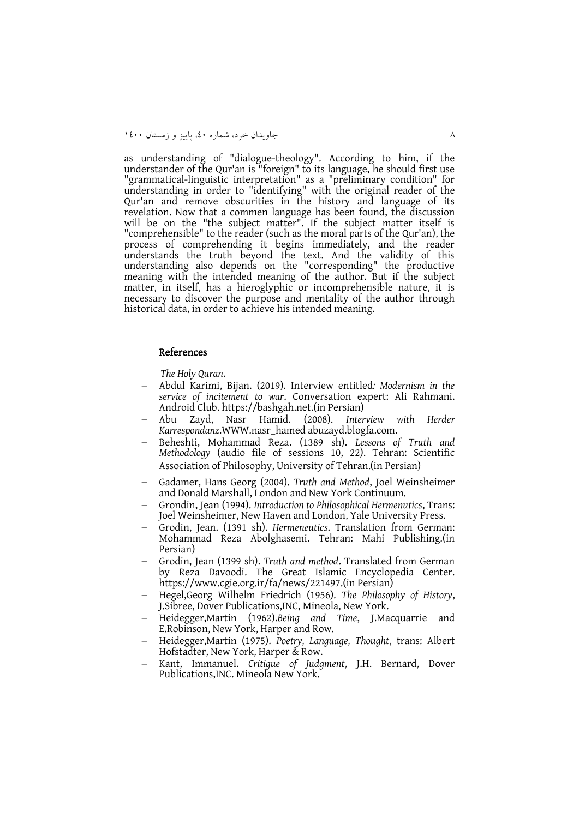as understanding of "dialogue-theology". According to him, if the understander of the Qur'an is "foreign" to its language, he should first use "grammatical-linguistic interpretation" as a "preliminary condition" for understanding in order to "identifying" with the original reader of the Qur'an and remove obscurities in the history and language of its revelation. Now that a commen language has been found, the discussion will be on the "the subject matter". If the subject matter itself is "comprehensible" to the reader (such as the moral parts of the Qur'an), the process of comprehending it begins immediately, and the reader understands the truth beyond the text. And the validity of this understanding also depends on the "corresponding" the productive meaning with the intended meaning of the author. But if the subject matter, in itself, has a hieroglyphic or incomprehensible nature, it is necessary to discover the purpose and mentality of the author through historical data, in order to achieve his intended meaning.

#### References

*The Holy Quran*.

- Abdul Karimi, Bijan. (2019). Interview entitled*: Modernism in the service of incitement to war*. Conversation expert: Ali Rahmani. Android Club. [https://bashgah.net.](https://bashgah.net/)(in Persian)
- Abu Zayd, Nasr Hamid. (2008). *Interview with Herder Karrespondanz*.WWW.nasr\_hamed abuzayd.blogfa.com.
- Beheshti, Mohammad Reza. (1389 sh). *Lessons of Truth and Methodology* (audio file of sessions 10, 22). Tehran: Scientific Association of Philosophy, University of Tehran.(in Persian)
- Gadamer, Hans Georg (2004). *Truth and Method*, Joel Weinsheimer and Donald Marshall, London and New York Continuum.
- Grondin, Jean (1994). *Introduction to Philosophical Hermenutics*, Trans: Joel Weinsheimer, New Haven and London, Yale University Press.
- Grodin, Jean. (1391 sh). *Hermeneutics*. Translation from German: Mohammad Reza Abolghasemi. Tehran: Mahi Publishing.(in Persian)
- Grodin, Jean (1399 sh). *Truth and method*. Translated from German by Reza Davoodi. The Great Islamic Encyclopedia Center. [https://www.cgie.org.ir/fa/news/221497.](https://www.cgie.org.ir/fa/news/221497)(in Persian)
- Hegel,Georg Wilhelm Friedrich (1956). *The Philosophy of History*, J.Sibree, Dover Publications,INC, Mineola, New York.
- Heidegger,Martin (1962).*Being and Time*, J.Macquarrie and E.Robinson, New York, Harper and Row.
- Heidegger,Martin (1975). *Poetry, Language, Thought*, trans: Albert Hofstadter, New York, Harper & Row.
- Kant, Immanuel. *Critigue of Judgment*, J.H. Bernard, Dover Publications,INC. Mineola New York.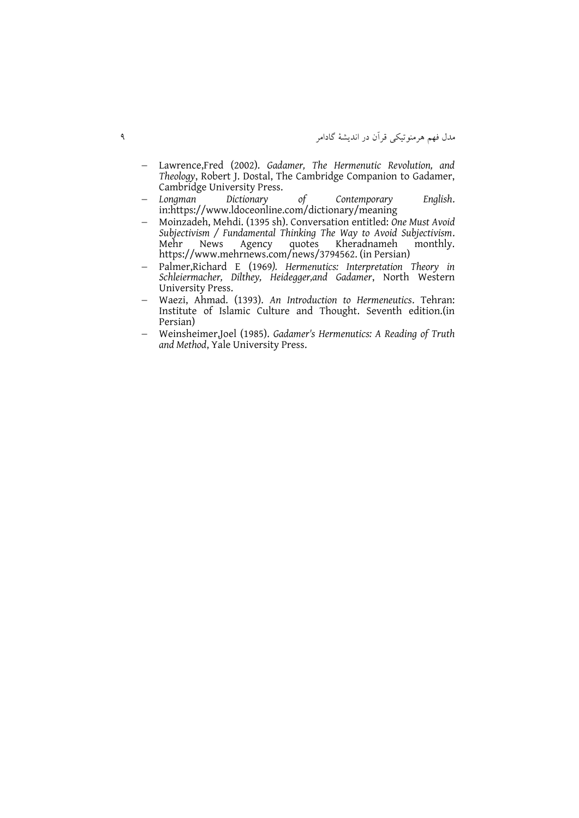- Lawrence,Fred (2002). *Gadamer, The Hermenutic Revolution, and Theology*, Robert J. Dostal, The Cambridge Companion to Gadamer, Cambridge University Press.
- *Longman Dictionary of Contemporary English*. in:https://www.ldoceonline.com/dictionary/meaning
- Moinzadeh, Mehdi. (1395 sh). Conversation entitled: *One Must Avoid Subjectivism / Fundamental Thinking The Way to Avoid Subjectivism*. Kheradnameh [https://www.mehrnews.com/news/3794562.](https://www.mehrnews.com/news/3794562) (in Persian)
- Palmer,Richard E (1969*). Hermenutics: Interpretation Theory in Schleiermacher, Dilthey, Heidegger,and Gadamer*, North Western University Press.
- Waezi, Ahmad. (1393). *An Introduction to Hermeneutics*. Tehran: Institute of Islamic Culture and Thought. Seventh edition.(in Persian)
- Weinsheimer,Joel (1985). *Gadamer's Hermenutics: A Reading of Truth and Method*, Yale University Press.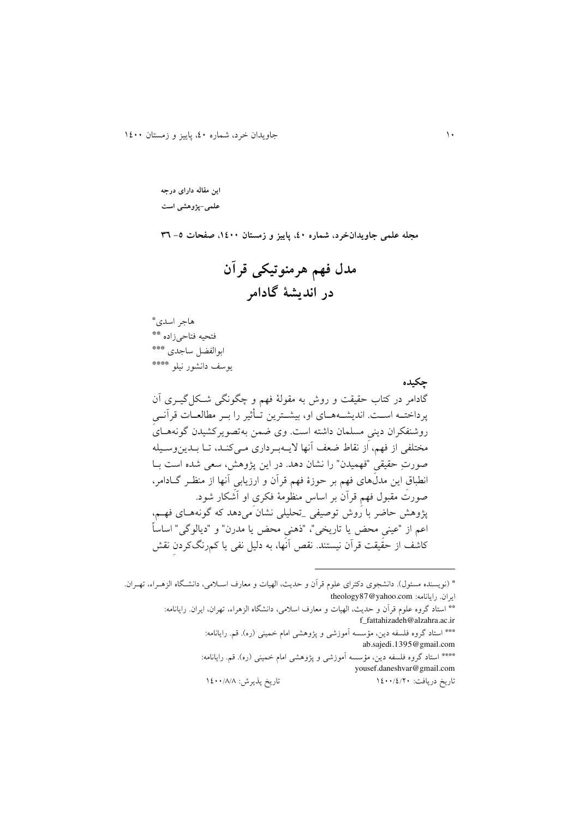**این مقاله دارای درجه علمی-پژوهشی است**

**مجله علمی جاویدانخرد، شماره ،04 پاییز و زمستان ،0044 صفحات -5 63**

**مدل فهم هرمنوتیکی قرآن در اندیشۀ گادامر**

\* هاجر اسدی فتحیه فتاحی زاده \*\* \*\*\* ابوالفضل ساجدی \*\*\*\* يوسف دانشور نیلو

**چکیده**  گادامر در کتاب حقیقت و روش به مقولة فهم و چگونگی شککل گیکری آن پرداختــه اســت. انديشــههــای او، بيشــترين تــأثير را بــر مطالعــات قرآنــی روشنفکران دينی مسلمان داشته است. وی ضمن بهتصويرکشيدن گونههـایَ مختلفی از فهم، از نقاط ضعف آنها لايـهبـرداری مـی کنـد، تـا بــدينوسـيله صورتِ حقیقی "فهمیدن" را نشان دهد. در این پژوهش، سعی شده است بـا انطباق اين مدلهای فهم بر حوزهٔ فهم قرآن و ارزيابی آنها از منظـر گـادامر، صورآ مقبول فهمِ قرآن بر اساس منظومة فکریِ او آشکار شودد پژوهش حاضر با روش توصیفی \_تحلیلی نشان میدهد که گونههکای فهکم، اعم از "عینیِ محض يا تاريخی"، "ذهنیِ محض يا مدرن" و "ديالوگی" اساساً کاشف از حقیقت قرآن نیستندد نقص آنها، به دلیل نفی يا کمرنگکردنِ نقش

\*\* استاد گروه علوم قرآن و حديث، الهيات و معارف اسلامي، دانشگاه الزهراء، تهران، ايران<sub>·</sub> رايانامه: f\_fattahizadeh@alzahra.ac.ir \*\*\* استاد گروه فلسفه دين، مؤسسه أموزشی و پژوهشی امام خمینی (ره). قم. رايانامه: ab.sajedi.1395@gmail.com \*\*\*\* استاد گروه فلسفه دين، مؤسسه آموزشی و پژوهشی امام خمینی (ره). قم. رايانامه: yousef.daneshvar@gmail.com تاريخ دريافت: 0044/0/04 تاريخ پذيرش: 0044/8/8

<sup>\* (</sup>نويسنده مسئول). دانشجوی دکترای علوم قرأن و حديث، الهيات و معارف اسـلامی، دانشـگاه الزهــراء، تهــران. theology87@yahoo.com :رايانامه ايراند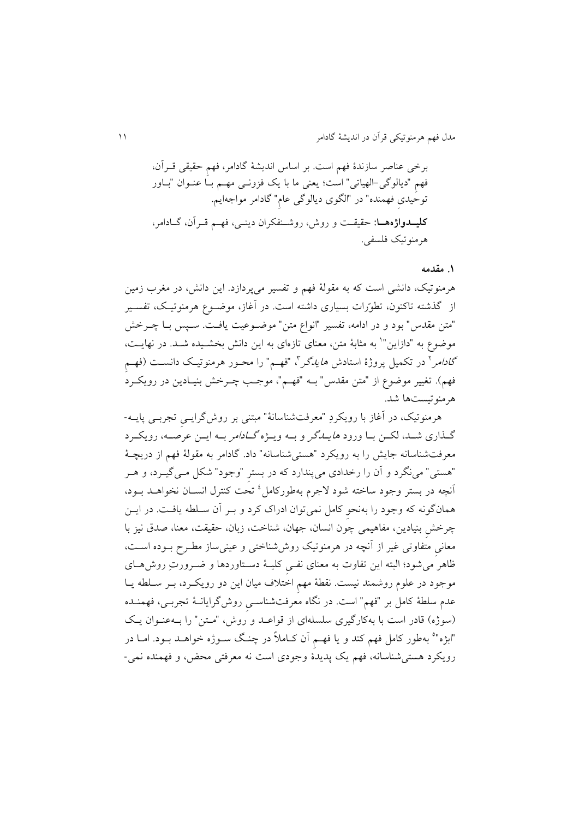برخی عناصر سازندة فهم استد بر اساس انديشة گادامر، فهمِ حقیقی قکرآن، فهمِ "ديالوگی-الهیاتی" است؛ يتنی ما با يک فزونک ی مهکم بکا عنکوان "بکاور توحیدیِ فهمنده" در "الگوی ديالوگی عامِ" گادامر مواجهايمد **کلیددواژههدا** حقیقکت و روش، روشکنفکران دينکی، فهکم قکرآن، گکادامر، هرمنوتیک فلسفید

#### **.0 مقدمه**

هرمنوتیک، دانشی است که به مقولهٔ فهم و تفسیر میپردازد. این دانش، در مغرب زمین از گذشته تاکنون، تطورّات بسیاری داشته است. در آغاز، موضـوع هرمنوتیـک، تفسـیر "متن مقدس" بود و در ادامه، تفسیر "انواع متن" موضوعیت یافت. سـپس بـا چــرخش موضوع به "دازاین"` به مثابهٔ متن، معنای تازهای به این دانش بخشـیده شــد. در نهایــت، گا*دامر*<sup>۲</sup> در تکمیل پروژهٔ استادش *هایدگر*"، "فهـم" را محـور هرمنوتیـک دانســت (فهـم فهم). تغییر موضوع از "متن مقدس" بــه "فهــم"، موجـب چــرخش بنیــادین در رويکــرد هرمنوتیستها شدد

هرمنوتیک، در آغاز با رويکردِ "مترفتشناسانة" مبتنی بر روشگرايکیِ تجربکی پايکه - گـذاری شـد، لکـن بـا ورود *هايـدگر* و بـه ويـژه *گـادامر* بـه ايـن عرصـه، رويکـرد مترفتشناسانه جايش را به رويکرد "هستیشناسانه" دادد گادامر به مقولة فهم از دريچک ة "هستی" مینگرد و آن را رخدادی میپندارد که در بسترِ "وجود" شکل مـی گیـرد، و هـر أنچه در بستر وجود ساخته شود لاجرم بهطورکامل<sup>،</sup> تحت کنترل انســان نخواهــد بــود، همانگونه که وجود را بهنحوِ کامل نمیتوان ادراک کرد و بکر آن سکلله يافکتد در ايک چرخش بنیادین، مفاهیمی چون انسان، جهان، شناخت، زبان، حقیقت، معنا، صدق نیز با معانی متفاوتی غیر از آنچه در هرمنوتیک روششناختی و عینیساز مطـرح بـوده اسـت، ظاهر میشود؛ البته این تفاوت به معنای نفـی کلیــهٔ دســتاوردها و ضــرورتِ روش۱صی موجود در علوم روشمند نيست. نقطهٔ مهم اختلاف ميان اين دو رويکرد، بـر سـلطه يـا عدم سللة کامل بر "فهم" استد در نگاه مترفتشناسکیِ روشگرايانک ة تجربکی، فهمنکده (سوژه) قادر است با بهکارگیری سلسلهای از قواعد و روش، "متن" را بهعنوان يک "ابژه"<sup>ه</sup> بهطور کامل فهم کند و یا فهـم اَن کــاملاً در چنـگ ســوژه خواهــد بــود. امــا در رويکرد هستیشناسانه، فهم يک پديدة وجودی است نه مترفتی محض، و فهمنده نمی-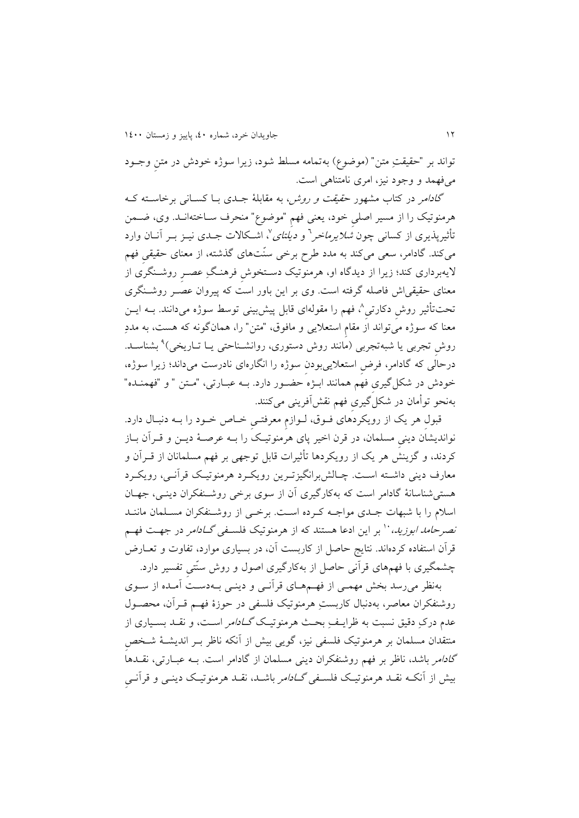تواند بر "حقیقتِ متن" (موضوع) بهتمامه مسلط شود، زیرا سوژه خودش در متن وجـود میفهمد و وجود نیز، امری نامتناهی استد

گ*ادامر در کتاب مشهور حقیقت و روش، به مقابلهٔ جبدی ببا کستانی برخاسته ک* هرمنوتیک را از مسیر اصلی خود، یعنی فهم "موضوع" منحرف سـاختهانـد. وی، ضـمن تأثیرپذیری از کسانی چون *شلایرماخر*<sup>ר</sup> و *دیلتای'\* اشـکالات جــدی نیــز بــر آنــان وارد میکندد گادامر، ستی میکند به مدد طر برخی سنّتهای گذشته، از متنای حقیقیِ فهم اليهبرداری کند؛ زيرا از ديدگاه او، هرمنوتیک دسکتخوشِ فرهنکگِ عصکرِ روشکنگری از معنای حقیقی اش فاصله گرفته است. وی بر این باور است که پیروان عصـر روشـنگری نحتتأثیر روشِ دکارتیِ^، فهم را مقولهای قابل پیشبینی توسط سوژه میدانند. بــه ایــن معنا که سوژه میتواند از مقام استعلایی و مافوق، "متن" را، همانگونه که هست، به مددِ روشِ تجربی يا شبهتجربی (مانند روش دستوری، روانشـناحتی يــا تــاريخی)<sup>۹</sup> بشناســد. درحالی که گادامر، فرضِ استتميیبودنِ سوژه را انگارهای نادرست میداند؛ زيرا سوژه، خودش در شکل گیری فهم همانند ابـژه حضـور دارد. بــه عبــارتی، "مــتن " و "فهمنــده" بهنحو توأمان در شکلگیریِ فهم نقشآفرينی میکنندد

قبول هر يک از رويکردَهای فــوق، لــوازم معرفتــی خــاص خــود را بــه دنبــال دارد. نوانديشان دينیِ مسلمان، در قرن اخیر پای هرمنوتیکک را بکه عرصک ة ديک و قکرآن بکاز کردند، و گزينش هر يک از رويکردها تأثيرات قابل توجهی بر فهم مسلمانان از قــراَن و معارف دينی داشته است. چـالش برانگيزتـرين رويکـرد هرمنوتيـک قرآنـی، رويکـرد هستیشناسانة گادامر است که بهکارگیری آن از سوی برخی روشکنفکران دينکی ، جهکان اسلام را با شبهات جـدی مواجـه کـرده اسـت. برخـی از روشـنفکران مسـلمان ماننـد *نصرحامد ابوزید*، `` بر این ادعا هستند که از هرمنوتیک فلس*ـفی گــادامر* در جهـت فهـم قرآن استفاده کردهاند. نتايج حاصل از کاربست آن، در بسياری موارد، تفاوت و تعــارض چشمگیری با فهمهای قرآنی حاصل از بهکارگیری اصول و روش سنّتیِ تفسیر داردد

بهنظر میرسد بخش مهمکی از فهکم هکای قرآنکی و دينکی بکه دسکت آمکده از سکوی روشنفکران معاصر، بهدنبال کاربستِ هرمنوتیک فلسفی در حوزهٔ فهم قـرآن، محصـول عدم درکِ دقیق نسبت به ظرايکفِ بحکث هرمنوتیکک گکادامر اسکت ، و نقکد بسکیاری از منتقدان مسلمان بر هرمنوتیک فلسفی نیز، گويی بیش از آنکه ناظر بکر انديشکة شکخصِ گ*ادامر* باشد، ناظر بر فهم روشنفکران دينی مسلمان از گادامر است. بــه عبــارتی، نقــدهـاً بیش از آنکه نقـد هرمنوتیـک فلس*ـفی گــادامر* باشـد، نقـد هرمنوتیـک دینــی و قرآنــی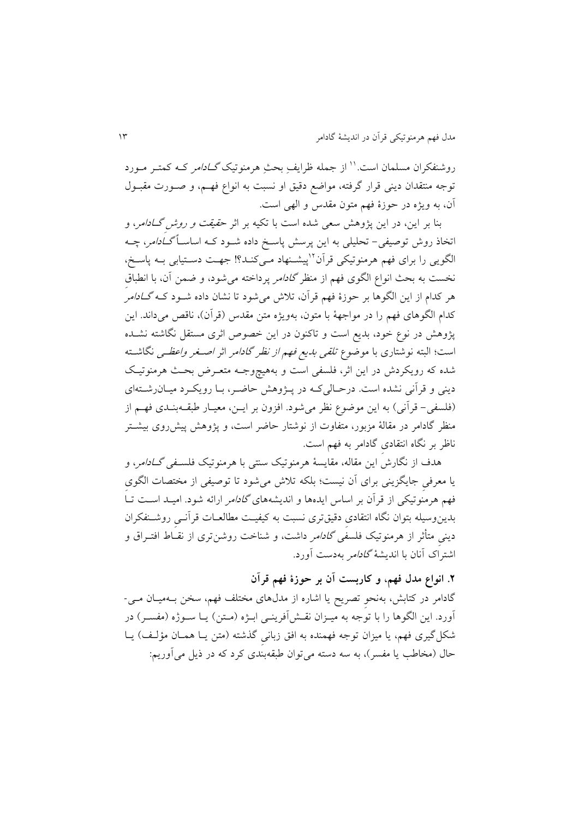روشنفکران مسلمان است.'' از جمله ظرایفِ بحثِ هرمنوتیک *گـادامر کـه کمتـر مـو*رد توجه منتقدان دينی قرار گرفته، مواضع دقيق او نسبت به انواع فهم، و صـورت مقبـول آن، به ويژه در حوزة فهم متون مقدس و الهی استد

بنا بر اين، در اين پژوهش سعی شده است با تکيه بر اثر ح*قیقت و روش گـادامر*، و اتخاذ روش توصیفی- تحلیلی به این پرسش پاسخ داده شـود کـه اساســاً *گــادامر*، چــه لگویی را برای فهم هرمنوتیکی قرآن<sup>۲۱</sup>پیشـنهاد مـیکنـد؟! جهـت دسـتیابی بــه پاسـخ، نخست به بحث انواع الگوی فهم از منظر *گادامر* پرداخته میشود، و ضمن آن، با انطباق هر کدام از اين الگوها بر حوزهٔ فهم قرآن، تلاش می شود تا نشان داده شــود کــه *گــادامر*ُ کدام الگوهای فهم را در مواجههٔ با متون، بهويژه متن مقدس (قرآن)، ناقص میداند. اين پژوهش در نوع خود، بديع است و تاکنون در اين خصوص اثري مستقل نگاشته نشـده است؛ البته نوشتاری با موضوع *تلقی بدیع فهم از نظر گادام*ر اثر *اصـغر واعظـی* نگاشــته شده که رویکردش در این اثر، فلسفی است و بههیچوجـه متعـرض بحـث هرمنوتیـک دينی و قرآنی نشده است. درحـالی کـه در پـژوهش حاضـر، بـا رويکـرد ميـان رشــتهای (فلسفی- قرآنی) به اين موضوع نظر می شود. افزون بر ايـن، معيـار طبقــهبنـدی فهــم از منظر گادامر در مقالهٔ مزبور، متفاوت از نوشتار حاضر است، و پژوهش پیشرروی بیشـتر ناظر بر نگاه انتقادیِ گادامر به فهم استد

هدف از نگارش اين مقاله، مقايسهٔ هرمنوتیک سنتی با هرمنوتیک فلس*ـفی گــادامر*، و يا معرفی جايگزينی برای آن نيست؛ بلکه تلاش میشود تا توصیفی از مختصات الگوی فهم هرمنوتیکی از قرآن بر اساس ايدهها و انديشههای گادامر ارائه شودد امیکد اسکت تکا بدي وسیله بتوان نگاه انتقادیِ دقیقتری نسبت به کیفیکت ملالتکاآ قرآنکیِ روشکنفکران دينی متأثر از هرمنوتیک فلسف*ی گادامر* داشت، و شناخت روشنتری از نقـاط افتـراق و اشتراک آنان با انديشهٔ *گادامر* بهدست آورد.

**.2 انواع مدل فهم، و کاربست آن بر حوزة فهم قرآن** گادامر در کتابش، بهنحو تصريح يا اشاره از مدلهای مختلف فهم، سخن بـهميـان مـی-

آورد. اين الگوها را با توجه به ميـزان نقـش|فرينـي ابـژه (مـتن) يـا سـوژه (مفسـر) در شکل گیری فهم، يا میزان توجه فهمنده به افق زبانی گذشته (متن يـا همـان مؤلـف) يـا حال (مخاطب يا مفسر)، به سه دسته می توان طبقهبندی کرد که در ذيل می آوريم: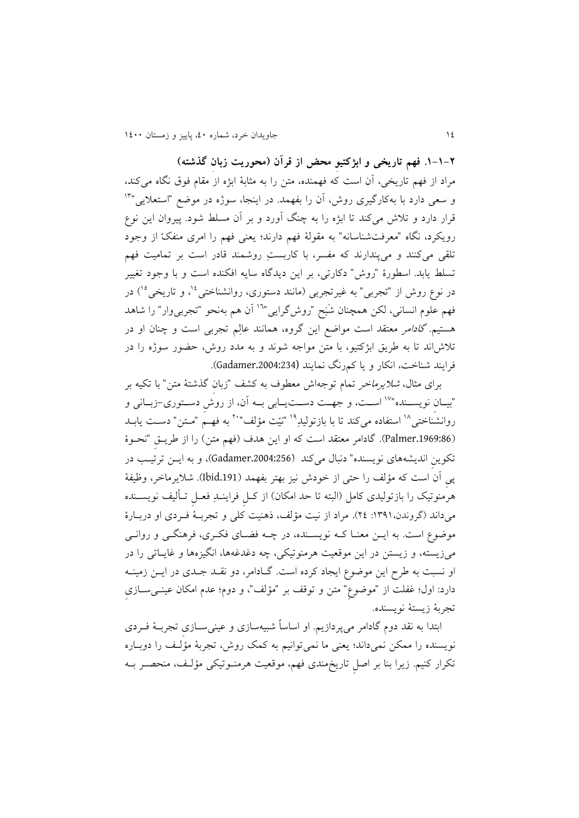**.0-0-2 فهم تاریخی و ابژکتیوِ محض از قرآن )محوریت زبانِ گذشته(** مراد از فهم تاريخی، آن است که فهمنده، مت را به مثابة ابژه از مقام فوق نگاه میکند، و سعی دارد با بهکارگیری روش، اَن را بفهمد. در اینجا، سوژه در موضع "استعلایی"<sup>۱۳</sup> قرار دارد و تلاش میکند تا ابژه را به چنگ آورد و بر آن مسلط شود. پیروان این نوع رويکرد، نگاه "مترفتشناسانه" به مقولة فهم دارند؛ يتنی فهم ّ را امری منفک از وجود تلقی میکنند و میپندارند که مفسر، با کاربستِ روشمند قادر است بر تمامیت فهم تسلط يابد. اسطورهٔ "روش" دکارتی، بر اين ديدگاه سايه افکنده است و با وجود تغيير در نوع روش از "تجربی" به غیرتجربی (مانند دستوری، روانشناختی<sup>؛ ۱</sup>، و تاریخی°<sup>۱</sup>) در فهم علوم انسانی، لکن همچنان شَبَح "روش\$رایی"<sup>۱</sup>' آن هم بهنحو "تجربیeار" را شاهد هستیم. *گادامر معتقد است مواضع این گروه*، همانند عالِم تجربی است و چنان او در تلاش اند تا به طريق ابژکتيو، با متن مواجه شوند و به مدد روش، حضور سوژه را در فرايند شناخت، انکار و يا کمرنگ نمايند (.2004:234Gadamer)د

برای مثال، *شلایرماخر* تمام توجهاش معطوف به کشف "زبان گذشتهٔ متن" با تکیه بر "بيـان نويســنده"<sup>۱۷</sup> اســت، و جهــت دســتيــابي بــه آن، از روش دسـتوري-زبــاني و روانشناختی<sup>۱۸</sup> استفاده میکند تا با بازتولیدِ<sup>۱۹</sup> "نیّت مؤلف"<sup>۲۰</sup> به فهـم "مــتن" دســت یابــد (Palmer.1969:86). گادامر معتقد است که او اين هدف (فهمِ متن) را از طريـق "نحـوهٔ تکوين انديشههای نويسنده" دنبال میکند (Gadamer.2004:256)، و به ايـن ترتيب در پیِ آن است که مؤلف را حتی از خودش نیز بهتر بفهمد ).191Ibid)د شميرماخر، وظیفة هرمنوتیک را بازتولیدی کامل (البته تا حد امکان) از کـل فراینــدِ فعــل تــألیف نویســنده میداند (گروندن،١٣٩١: ٢٤). مراد از نیت مؤلف، ذهنیت کلی و تجربـهٔ فـردی او دربـارهٔ موضوع است. به ايـن معنـا کـه نويسـنده، در چـه فضـای فکـری، فرهنگـی و روانـی میزيسته، و زيستن در اين موقعيت هرمنوتيکی، چه دغدغهها، انگيزهها و غايـاتی را در او نسبت به طرح اين موضوع ايجاد کرده است. گـادامر، دو نقــد جــدی در ايــن زمينــه دارد: اول؛ غفلت از "موضوع" متن و توقف بر "مؤلف"، و دوم؛ عدم امکان عینــیســازی تجربة زيستة نويسندهد

ابتدا به نقد دوم گادامر میپردازيمد او اساساً شبیهسازی و عینیسکازیِ تجربکة فکردی نويسنده را ممکن نمیداند؛ يعنی ما نمیتوانیم به کمک روش، تجربهٔ مؤلف را دوبـاره تکرار کنیمد زيرا بنا بر اصلِ تاريخمندی فهم، موقتیت هرمنکوتیکی مؤلکف، منحصکر بکه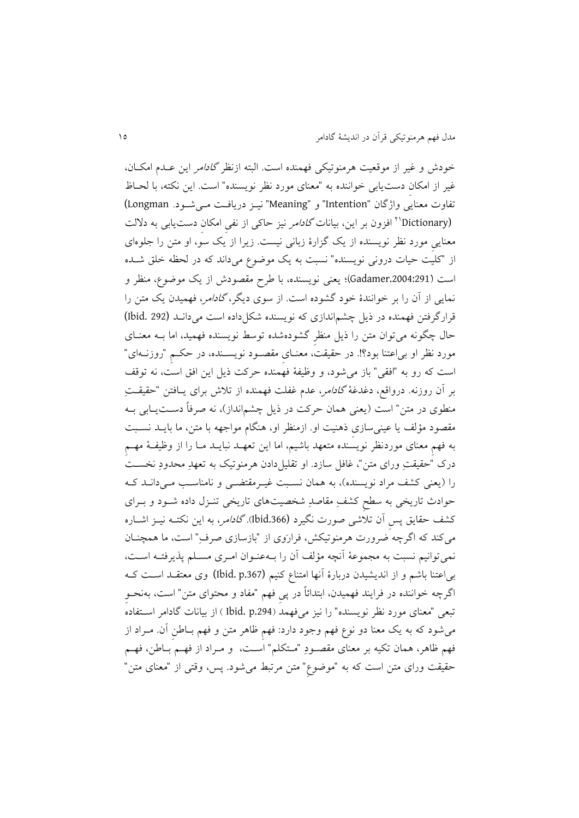خودش و غیر از موقعیت هرمنوتیکی فهمنده است. البته ازنظر *گادامر* این عـدم امکـان، غیر از امکان دست یابی خواننده به "معنای مورد نظر نویسنده" است. این نکته، با لحـاظ تفاوت معنايی واژگان "Intention" و "Meaning" نيـز دريافـت مـی شـود. Longman) 'Dictionary'' افزون بر اين، بيانات *گادامر* نيز حاکي از نفي امکان دستيابي به دلالت معنايیِ مورد نظر نويسنده از يک گزارهٔ زبانی نیست. زيرا از يک سو، او متن را جلوهای از "کلیت حیات درونی نویسنده" نسبت به یک موضوع میداند که در لحظه خلق شـده است (Gadamer.2004:291)؛ يعني نويسنده، با طرح مقصودش از يک موضوع، منظر و نمايی از آن را بر خوانندهٔ خود گشوده است. از سوی ديگر، *گادامر*، فهميدن يک متن را قرارگرفتن فهمنده در ذيل چشماندازی که نويسنده شکل داده است می دانـد (1bid. 292) حال چگونه می توان متن را ذیل منظرِ گشودهشده توسط نویسنده فهمید، اما بــه معنــای مورد نظر او بیاعتنا بود؟!د در حقیقت، متنکایِ مقصکود نويسکنده، در حککمِ "روزنکه ای" است که رو به "افقی" باز می شود، و وظیفهٔ فهمنده حرکت ذیل این افق است، نه توقف بر آن روزنه. درواقع، دغدغهٔ *گادامر، عد*م غفلت فهمنده از تلاش برای یـافتن "حقیقــتِ منطوی در متن" است (يعنی همان حرکت در ذيل چشمانداز)، نه صرفاً دســت\_ابی بــه مقصود مؤلف يا عينیِسازی ذهنيت او ازمنظر او، هنگام مواجهه با متن، ما بايــد نســبت به فهمِ معنای موردنظر نويسنده متعهد باشیم، اما اين تعهـد نبايــد مــا را از وظیفــهٔ مهــم درک "حقیقتِ ورای متن"، غافل سازد. او تقلیل(دادن هرمنوتیک به تعهدِ محدودِ نخسـت را (يعنی کشف مراد نويسنده)، به همان نسبت غيـرمقتضـی و نامناسـب مـی دانـد کـه حوادث تاريخی به سلحِ کشفِ مقاصدِ شخصیتهای تاريخی تنکزل داده شکود و بکرای کشف حقايق پس اَن تلاَشی صورت نگیرد (bid.366)*. گادامر*، به اين نکتـه نيــز اشــاره میکند که اگرچه ضرورت هرمنوتیکش، فرارَوی از "بازسازی صرفِ" است، ما همچنــان نمیتوانیم نسبت به مجموعهٔ آنچه مؤلف آن را بـهعنـوان امـری مسـلم پذيرفتـه اسـت، بی|عتنا باشم و از اندیشیدن دربارهٔ آنها امتناع کنیم (Ibid. p.367) وی معتقـد اسـت کـه اگرچه خواننده در فرايند فهميدن، ابتدائاً در پی فهم "مفاد و محتوای متن" است، بهنحــو تبعی "معنای مورد نظر نویسنده" را نیز میفهمد (Ibid. p.294 ) از بیانات گادامر استفاده میشود که به يک معنا دو نوع فهم وجود دارد: فهم ظاهر متن و فهم بـاطن اَن. مـراد از فهم ظاهر، همان تکیه بر معنای مقصودِ "مـتکلم" اسـت، و مـراد از فهـم بـاطن، فهـم حقیقت ورای متن است که به "موضوع" متن مرتبط میشود. پس، وقتی از "معنای متن"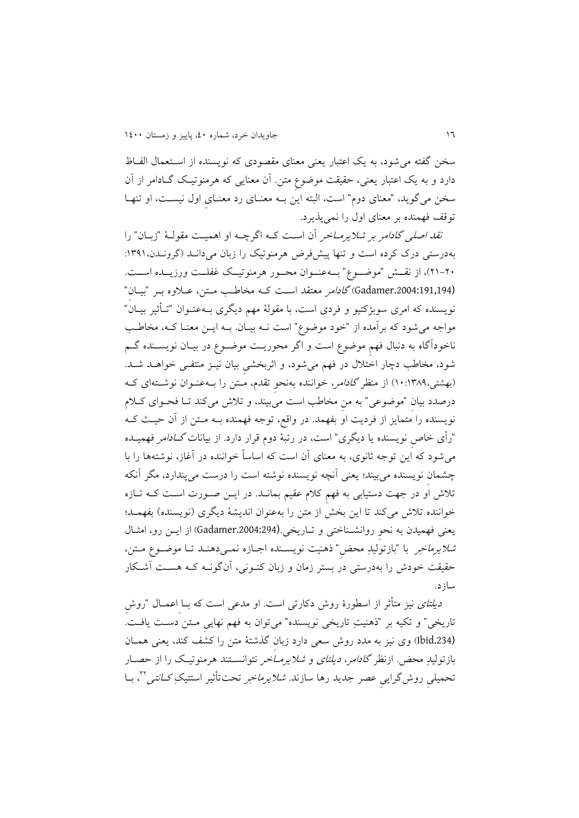سخن گفته می شود، به يک اعتبار يعنی معنای مقصودی که نويسنده از اسـتعمال الفـاظ دارد و به يک اعتبار يعني، حقيقت موضوع متن. آن معنايی که هرمنوتيک گـادامر از آن سخن میگويد، "معنای دوم" است، البته اين بــه معنــای رد معنــایِ اول نیســـت، او تنهــا توقف فهمنده بر متنای اول را نمیپذيردد

ن*قد اصلی گادامر بر شلایرمــاخر* آن اسـت کــه اگرچــه او اهمیــت مقولــهٔ "زبــان" را بهدرستی درک کرده است و تنها پیشفرض هرمنوتیک را زبان میدانکد )گرونکدن :0390، 00-04(، از نقککش "موضککو " بککهعنککوان محککور هرمنوتیککک غفلککت ورزيککده اسککت د (Gadamer.2004:191,194) *گادامر معتقد است که مخاطب متن، ع*لاوه بـر "بیـان" نويسنده که امری سوبژکتیو و فردی است، با مقولهٔ مهم ديگری بــهعنــوان "تــأثير بيــان" مواجه می شود که برآمده از "خود موضوع" است نــه بیــان. بــه ايــن معنــا کــه، مخاطــب ناخودآگاه به دنبال فهمِ موضو است و اگر محوريکت موضکو در بیکان نويسکنده گکم شود، مخاطب دچار اختلال در فهم میشود، و اثربخشی بیان نیـز منتفـی خواهـد شـد. (بهشتی،۱۳۸۹:۱۰) از منظر *گادامر*، خواننده بهنحو تقدم، مـتن را بـهعنـوان نوشــتهای کـه درصدد بیان "موضوعی" به من مخاطب است میبیند، و تلاش میکند تـا فحـوای کـلام نويسنده را متمايز از فرديت او بفهمدد در واقع، توجه فهمنده بکه مکت از آن حیکث ککه "رأی خاص نویسنده یا دیگری" است، در رتبهٔ دوم قرار دارد. از بیانات *گــادامر* فهمیــده میشود که این توجه ثانوی، به معنای آن است که اساساً خواننده در آغاز، نوشتهها را با چشمان نویسنده میبیند؛ یعنی آنچه نویسنده نوشته است را درست میپندارد، مگر آنکه تلاش او در جهت دستیابی به فهم کلام عقیم بمانــد. در ایــن صــورت اسـت کــه تــازه خواننده تلاش میکند تا اين بخش از متن را بهعنوان انديشهٔ ديگری (نويسنده) بفهمـد؛ يتنی فهمیدن به نحوِ روانشکناختی و تکاريخید (.2004:294Gadamer )از ايک رو، امثکال *شلایرماخِر* با "بازتولیدِ محض" ذهنیت نویسـنده اجـازه نمـیدهنـد تـا موضـوع مـتن، حقیقت خودش را بهدرستی در بستر زمان و زبان کنکونی، آن گونکه ککه هسکت آشککار سازدد

*دیلتای* نیز متأثر از اسطورهٔ روش دکارتی است. او مدعی است که بــا اعمــال "روش تاريخی" و تکيه بر "ذهنيتِ تاريخی نويسنده" میتوان به فهم نهايی مـتن دسـت يافـت. (Ibid.234) وی نیز به مدد روش سعی دارد زبان گذشتهٔ متن را کشف کند، يعنی همـان بازتولیدِ محض ازنظر *گادامر، ديلتای و شلايرمــاخر* نتوانســتند هرمنوتيـک را از حصــار تحمیلی روشگرایی عصر جدید رها سازند. *شلایرماخِر* تحتتأثیر استتیکِ *کـانتی*ٌ''، بــا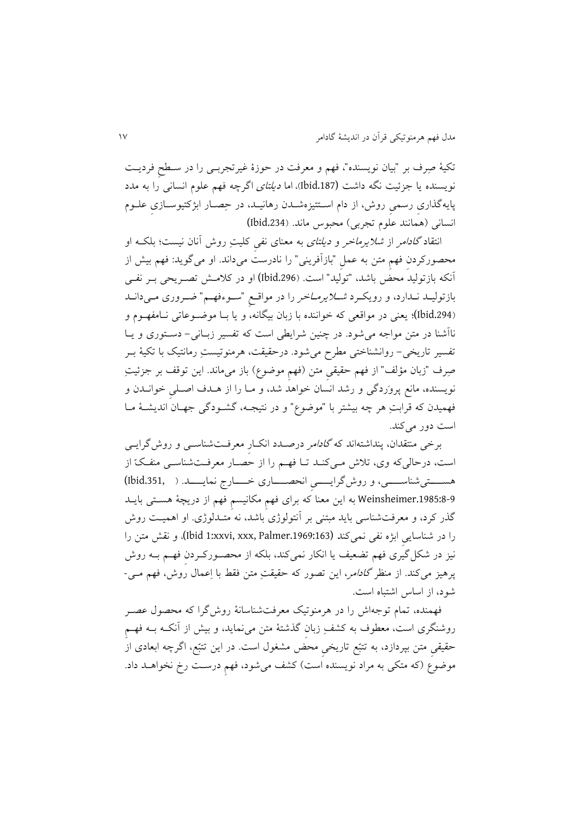تکیة صِرف بر "بیان نويسنده"، فهم و مترفت در حوزة غیرتجربکی را در سکلحِ فرديکت نويسنده يا جزئيت نگه داشت (1bid.187)، اما *ديلتای* اگرچه فهم علوم انسانی را به مدد پايهگذاری رسمی روش، از دام اسـتتیزهشــدن رهانیــد، در حِصــار ابژکتیوســازی علــوم انسانی (همانند علوم تجربی) محبوس ماند. (Ibid.234)

انتقاد *گادامر از شلايرماخر و ديلتای ب*ه معنای نفی کليتِ روش آنان نيست؛ بلکـه او محصورکردن فهم متن به عمل "بازآفرينی" را نادرست میداند. او میگويد: فهم بيش از آنکه بازتولید محض باشد، "تولید" استد ).296Ibid (او در کممکش تصکريحی بکر نفکی بازتولیـد نـدارد، و رويکـرد *شــلايرمــاخر* را در مواقـع "ســوءفهــم" ضــروری مــیدانــد ).294Ibid(؛ يتنی در مواقتی که خواننده با زبان بیگانه، و يا بکا موضکوعاتی نکا مفهکوم و ناآشنا در متن مواجه می شود. در چنین شرایطی است که تفسیر زبـانی- دسـتوری و يـا تفسیر تاریخی- روانشناختی مطرح میشود. درحقیقت، هرمنوتیستِ رمانتیک با تکیهٔ بــر صِرف "زبان مؤلف" از فهم حقیقیِ متن (فهمِ موضوع) باز میءاند. این توقف بر جزئیتِ نویسنده، مانع پرورَدگی و رشد انسان خواهد شد، و مـا را از هـدف اصـلی خوانــدن و فهمیدن که قرابتِ هر چه بیشتر با "موضو " و در نتیجکه، گشکودگی جهکان انديشکة مکا است دور می کند.

برخی منتقدان، پنداشتهاند که *گادامر درصـدد انکـار معرفـتشناسـی و روش*گرايـ*ی* است، درحالی که وی، تلاش می کنـد تـا فهـم را از حصـار معرفـتشناسـیِ منفـکّ از هســـتیشناســــی، و روش گرايـــــی انحصــــاری خــــارج نمايـــــد. ( ,Ibid.351) 4-3:1985.Weinsheimer به اين معنا که برای فهمِ مکانيسمِ فهم از دريچهٔ هسـتی بايــد گذر کرد، و معرفتشناسی بايد مبتنی بر آنتولوژی باشد، نه متـدلوژی. او اهمیـت روش را در شناسایی ابژه نفی نمیکند (11969:163.palmer)، و نقش متن را نیز در شکل گیری فهم تضعیف یا انکار نمیکند، بلکه از محصـورکــردن فهــم بــه روش پرهیز میکند. از منظر *گادامر*، این تصور که حقیقتِ متن فقط با اِعمال روش، فهم مـی-شود، از اساس اشتباه استد

فهمنده، تمام توجهاش را در هرمنوتیک مترفتشناسانة روشگرا که محصول عصکر روشنگری است، معطوف به کشفِ زبان گذشتهٔ متن می نماید، و بیش از آنکـه بــه فهــم حقیقی متن بپردازد، به تتبّع تاريخی محض مشغول است. در اين تتبّع، اگرچه ابعادی از موضوع (که متکی به مراد نویسنده است) کشف می شود، فهم درست رخ نخواهـد داد.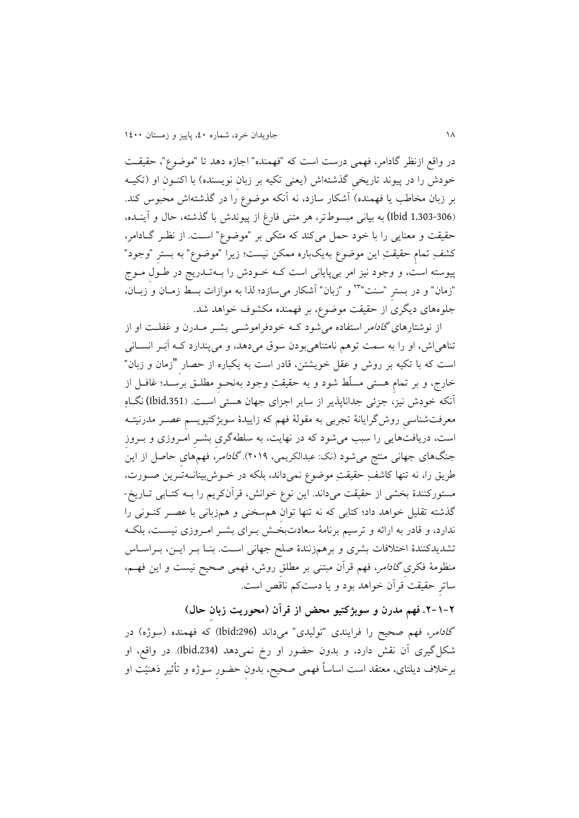در واقع ازنظر گادامر، فهمی درست است که "فهمنده" اجازه دهد تا "موضو "، حقیقکت خودش را در پیوند تاریخی گذشتهاش (يعنی تکیه بر زبان نويسنده) با اکنـون او (تکیــه بر زبان مخاطب يا فهمنده) آشکار سازد، نه آنکه موضوع را در گذشتهاش محبوس کند. )1.303-306 Ibid (به بیانی مبسوطتر، هر متنی فارغ از پیوندش با گذشته، حال و آينکده، حقیقت و معنایی را با خود حمل میکند که متکی بر "موضوع" است. از نظر گـادامر، کشفِ ِتمامِ حقیقتِ این موضوع بهیکباره ممکن نیست؛ زیرا "موضوع" به بستر "وجود" پیوسته است، و وجود نیز امر بیپايانی است ککه خکودش را بکه تکدريج در طکولِ مکو "زمان" و در بسترِ "سنت"<sup>۲۳</sup> و "زبان" آشکار می $\omega$ ازد؛ لذا به موازات بسط زمـان و زبــان، جلوههای دیگری از حقیقت موضوع، بر فهمنده مکشوف خواهد شد.

از نوشتارهای *گادامر* استفاده می شود ک<sup>ه</sup> خودفراموش<sub>ک</sub>ی بشـر مـدرن و غفلـت او از تناهیاش، او را به سمت توهم نامتناهیبودن سوق میدهد، و میپندارد کـه اَبَـر انسـانی است که با تکیه بر روش و عقل خویشتن، قادر است به یکباره از حصار "زمان و زبان" خار ، و بر تمامِ هستی مسلّط شود و به حقیقتِ وجود بهنحکوِ مللکق برسکد ؛ غافکل از آنکه خودش نیز، جزئی جداناپذير از ساير اجزای جهان هستی اسکت د ).351Ibid (نگکاهِ مترفتشناسیِ روشگرايانة تجربی به مقولة فهم که زايیدة سوبژکتیويسمِ عصکر مدرنیتکه است، دریافتهایی را سبب میشود که در نهایت، به سلطهگری بشـرِ امـروزی و بـروز جنگهای جهانی منتج میشود (نک: عبدالکریمی، ۲۰۱۹).گ*ادامر*، فهمهٔای حاصل از این<sup>َ</sup> طريق را، نه تنها کاشفِ حقيقتِ موضوع نميداند، بلکه در خـوش بينانــهتـرين صــورت، مستورکنندهٔ بخشی از حقیقت میداند. اين نوع خوانش، قرآنکريم را بــه کتــابی تــاريخ-گذشته تقلیل خواهد داد؛ کتابی که نه تنها توان همسخنی و همزبانی با عصـر کنــونی را ندارد، و قادر به ارائه و ترسیم برنامهٔ سعادتبخش بوای بشکر امروزی نیست، بلکه تشديدکنندهٔ اختلافات بشری و برهمزنندهٔ صلح جهانی است. بنـا بـر ايـن، بـراسـاس منظومهٔ فکری *گادامر*، فهم قرآن مبتنی بر مطلق روش، فهمی صحیح نیست و این فهـم، ساترِ حقیقت قرآن خواهد بود و يا دستکم ناقص استد

**.2-1-2 فهم مدرن و سوبژکتیو محض از قرآن )محوریت زبانِ حال(** گاد*امر*، فهم صحیح را فرایندی "تولیدی" میداند (Ibid:296) که فهمنده (سوژه) در شکلگیری آن نقش دارد، و بدون حضور او رخ نمیدهد (.234Ibid)د در واقع، او برخلاف ديلتای، معتقد است اساساً فهمی صحیح، بدون حضور سوژه و تأثیر ذهنیّت او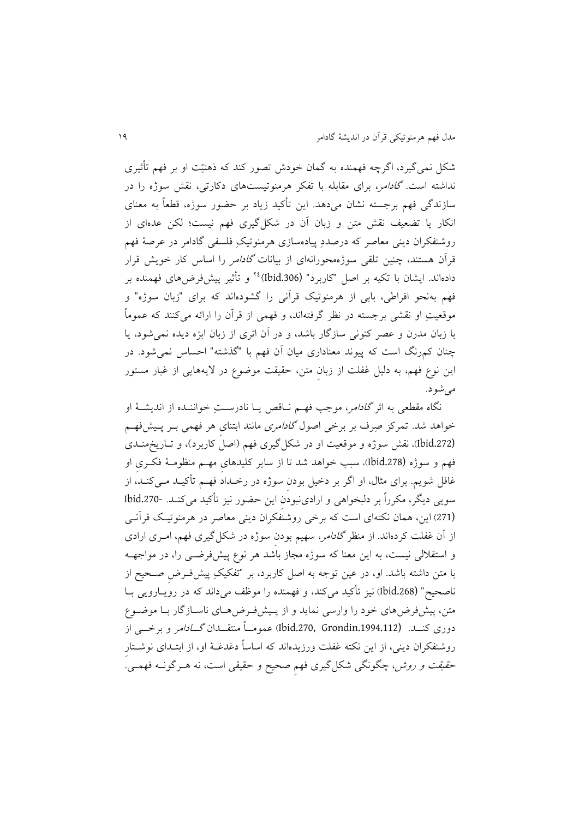شکل نمی گیرد، اگرچه فهمنده به گمان خودش تصور کند که ذهنیّت او بر فهم تأثیری نداشته است. *گادامر*، برای مقابله با تفکر هرمنوتیستهای دکارتی، نقش سوژه را در سازندگی فهم برجسته نشان میدهد. اين تأکید زياد بر حضور سوژه، قطعاً به معنای انکار یا تضعیف نقش متن و زبان آن در شکل گیری فهم نیست؛ لکن عدهای از روشنفکران دينی متاصر ِ که درصدد پیاده ِ ِ سازی هرمنوتیک فلسفی گادامر در عرصة فهم قرآن هستند، چنین تلقی سوژهمحورانهای از بیانات *گادام*ر را اساس کار خویش قرار دادهاند. ایشان با تکیه بر اصل "کاربرد" (1bid.306)<sup>۲٤</sup> و تأثیر پیشفررضهای فهمنده بر فهم به ِ نحو افراطی، بابی از هرمنوتیک قرآنی را گشودهاند که برای " ِ زبان سوژه" و ِ موقتیت او نقشی برجسته در نظر گرفتهاند، و فهمی از قرآن را ارائه میکنند که عمومًا با زبان مدرن و عصر کنونی سازگار باشد، و در آن اثری از زبان ابژه دیده نمی شود، یا چنان کمرنگ است که پیوند متناداری میان آن فهم با "گذشته" احساس نمیشودد در اين نوع فهم، به دليل غفلت از زبان متن، حقيقت موضوع در لايههايی از غبار مستور مے شود.

نگاه مقطعی به اثر *گادامر*، موجب فهـم نـاقص يــا نادرســتِ خواننــده از انديشــهٔ او خواهد شد. تمرکز صِرف بر برخی اصول *گادامری م*انند ابتنای هر فهمی بــر پــیشفهــم (.272Ibid)، نقش سوژه و موقتیت او در شکلگیری فهم )اصل کاربرد(، و تکاريخ منکدی فهم و سوژه (.278Ibid)، سب خواهد شد تا از ساير کلیدهایِ مهکم منظومک ة فککریِ او غافل شويم. برای مثال، او اگر بر دخیل بودن سوژه در رخـداد فهـم تأکیــد مــیکنــد، از سويی ديگر، مکرراً بر دلبخواهی و ارادینبودن اين حضور نيز تأکيد میکنـد. -Ibid.270 (271) اين، همان نکتهای است که برخی روشنفکران دينی معاصر در هرمنوتیک قرآنـی از آن غفلت کردهاند. از منظر *گادامر*، سهیم بودن سوژه در شکل گیری فهم، امـری ارادی و استقلالی نیست، به این معنا که سوژه مجاز باشد هر نوع پیشفرضی را، در مواجهـه با متن داشته باشد. او، در عین توجه به اصل کاربرد، بر "تفکیکِ پیشفرض صـحیح از ناصحیح" (bid.268) نیز تأکید میکند، و فهمنده را موظف میداند که در رویبارویی ببا متن، پیش فرضهای خود را وارسی نماید و از پـیشفرض۵های ناسـازگار بـا موضـوع دوری کنــد. (11994.112Grondin ـ1994) عمومــاً منتقـــدان *گـــادام*ر و برخـــی از روشنفکران دينی، از اين نکته غفلت ورزيدهاند که اساساً دغدغــهٔ او، از ابتــدای نوشــتار ح*قیقت و روش، چگو*نگی شکلگیری فهم صحیح و حقیقی است، نه هـرگونــه فهمــی.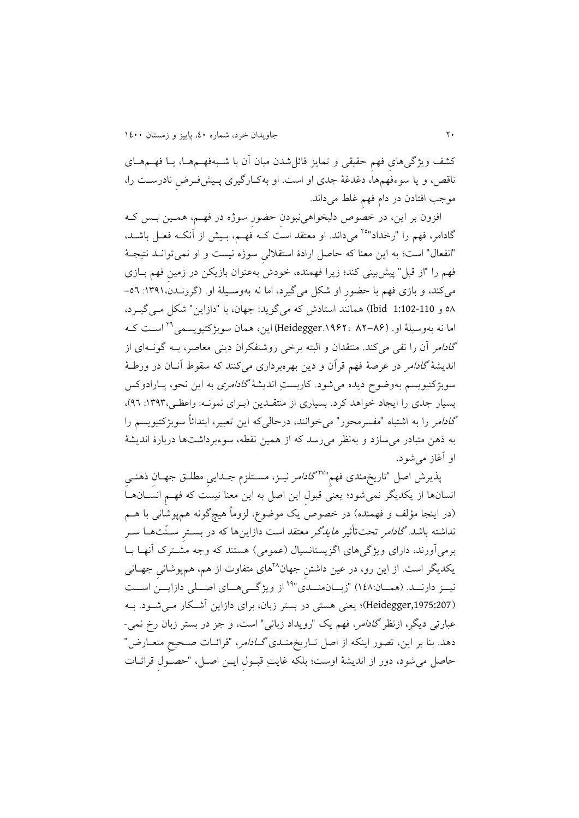کشف ويژگیِهای فهمِ حقیقی و تمايز قائلِشدن میان آن با شـبهفهـمهمـا، يـا فهـمهمـای ناقص، و يا سوءفهمها، دغدغهٔ جدی او است. او بهکارگیری پـیشفـرض نادرسـت را، موجب افتادن در دام فهم غلط میداند.

افزون بر این، در خصوص دلبخواهی نبودن حضورِ سوژه در فهـم، همـین بـس کـه گادامر، فهم را "رخداد"<sup>۲۵</sup> میداند. او معتقد است کـه فهـم، بـیش از آنکـه فعـل باشــد، "انفعال" است؛ به این معنا که حاصل ارادهٔ استقلالی سوژه نیست و او نمیتوانــد نتیجــهٔ فهم را "از قبل" پیشبینی کند؛ زیرا فهمنده، خودش بهعنوان بازیکن در زمین فهم بـازی میکند، و بازی فهم با حضورِ او شکل میگیرد، اما نه بهوسـیلهٔ او. (گرونـدن، ۱۳۹۱: ۵٦-58 و 1:102-110 Ibid )همانند استادش که میگويد: جهان، با "دازاي " شکل مکی گیکرد ، اسکت ککه <sup>06</sup> اما نه بهوسیلة اود (82-86 1962:دHeidegger (اي ، همان سوبژکتیويسمی گ*ادام*ر آن را نفی میکند. منتقدان و البته برخی روشنفکران دينی معاصر، بـه گونــهای از انديشهٔ *گادامر در عرصهٔ فهم قرآن و دين بهر*هبرداری میکنند که سقوط آنـان در ورطـهٔ سوبژکتیویسم بهوضوح دیده میشود. کاربستِ اندیشهٔ *گادامری* به این نحو، پـارادوکس بسیار جدی را ايجاد خواهد کرد. بسیاری از منتقـدين (بـرای نمونـه: واعظـی، ١٣٩٣: ٩٦)، گا*دامر را به اشتباه "مفسرمحور" می خوانند، درحالی که این تعبیر، ابتدائاً سوبژکتیویسم را* به ذهن متبادر می سازد و بهنظر می رسد که از همین نقطه، سوءبرداشتها دربارهٔ اندیشهٔ او آغاز میشودد

پذيرش اصل "تاريخِمندی فهم"<sup>۲۷</sup>گا*دامر* نیـز، مسـتلزم جـدايیِ مطلـق جهـان ذهنـی انسانها از يکديگر نمی شود؛ يعنی قبول اين اصل به اين معنا نيست که فهمِ انسـانهـا (در اينجا مؤلف و فهمنده) در خصوص يک موضوع، لزوماً هيچگونه همپوشانی با هــم نداشته باشد. *گادامر* تحتتأثیر *هایدگر معتقد* است دازاینها که در بسـترِ سـنّتهــا سـر برمیآورند، دارای ویژگیهای اگزیستانسیال (عمومی) هستند که وجه مشترک آنهـا بــا یکدیگر است. از این رو، در عین داشتنِ جهان^'های متفاوت از هم، همپوشانیِ جهــانی نيــز دارنــد. (همــان:۱٤۸) "زبــانهنــدکی"<sup>۲۹</sup> از ويژگـــیهــای اصــلی دازايـــنُ اســت (Heidegger,1975:207)؛ يعنی هستی در بستر زبان، برای دازاين آشکار می شود. بـه عبارتی ديگر، ازنظر گادامر، فهم يک "رويداد زبانی" است، و جز در بستر زبان رخ نمی- دهد. بنا بر اين، تصور اينکه از اصل تـاريخمنـدی *گــادامر*، "قرائــات صـحيح متعــارض" حاصل می شود، دور از انديشهٔ اوست؛ بلکه غايتِ قبـول ايـن اصـل، "حصـول قرائـات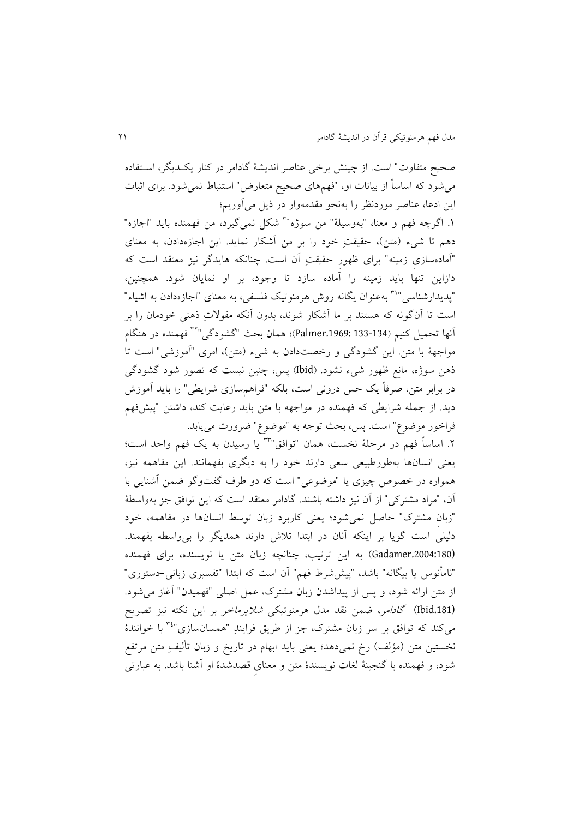صحیح متفاوت" است. از چینش برخی عناصر اندیشهٔ گادامر در کنار یک یگر، استفاده می شود که اساساً از بیانات او، "فهمهای صحیح متعارض" استنباط نمی شود. برای اثبات اين ادعا، عناصر موردنظر را بهنحوِ مقدمهوار در ذيل میآوريم؛

۱. اگرچه فهم و معنا، "بهوسیلهٔ" من سوژه<sup>۳۰</sup> شکل نم*ی گ*یرد، من فهمنده باید "اجازه" دهم تا شیء (متن)، حقیقت خود را بر من آشکار نماید. این اجازهدادن، به معنای "آماده ِ سازی زمینه" ِ ِ برای ظهور حقیقت آن استد چنانکه هايدگر نیز متتقد است که دازاين تنها بايد زمينه را آماده سازد تا وجود، بر او نمايان شود. همچنين، "پدیدارشناسی"<sup>۳۱</sup> بهعنوان یگانه روش هرمنوتیک فلسفی، به معنای "اجازهدادن به اشیاء" است تا آن گونه که هستند بر ما آشکار شوند، بدون آنکه مقولاتِ ذهنی خودمان را بر ِ فهمنده در هنگام <sup>30</sup> آنها تحمیل کنیم )133-134 .1969:Palmer)؛ همان بحث " ِ گشودگی " مواجههٔ با متن این گشودگی و رخصتدادن به شیء (متن)، امری "آموزشی" است تا ذهن سوژه، مانع ظهور شیء نشود. (Ibid) پس، چنین نیست که تصور شود گشودگی در برابر متن، صرفاً يک حس درونی است، بلکه "فراهمسازی شرايطی" را بايد آموزش ديد. از جمله شرايطی که فهمنده در مواجهه با متن بايد رعايت کند، داشتن "پيشفهم فراخور موضوع" است. پس، بحث توجه به "موضوع" ضرورت می یابد.

۲. اساساً فهم در مرحلهٔ نخست، همان "توافق" ؓ" یا رسیدن به یک فهم واحد است؛ يتنی انسانها بهطورطبیتی ستی دارند خود را به ديگری بفهمانندد اي مفاهمه نیز، همواره در خصوص چیزی یا "موضوعی" است که دو طرف گفتوگو ضمن آشنایی با آن، "مراد مشترکی" از آن نیز داشته باشند. گادامر معتقد است که این توافق جز بهواسطهٔ " ِ زبان مشترک" حاصل نمیشود؛ يتنی کاربرد زبان توسط انسانها در مفاهمه، خود دلیلی است گويا بر اينکه آنان در ابتدا تلاش دارند همديگر را بی واسطه بفهمند. (Gadamer.2004:180) به اين ترتيب، چنانچه زبان متن يا نويسنده، برای فهمنده "نامأنوس يا بیگانه" باشد، "پیش شرط فهم" آن است که ابتدا "تفسیری زبانی-دستوری" از متن ارائه شود، و پس از پیداشدن زبان مشترک، عمل اصلی "فهمیدن" آغاز می شود. (Ibid.181) گاد*امر، ضمن نقد مدل هرمنوتیکی شلایرماخر* بر این نکته نیز تصریح میکند که توافق بر سر زبان مشترک، جز از طریق فرایندِ "همسانسازی"<sup>۳٤</sup> با خوانندهٔ نخستين متن (مؤلف) رخ نمیِ دهد؛ يعنی بايد ابهام در تاريخ و زبان تألیفِ ِ متن مرتفع شود، و فهمنده با گنجینهٔ لغات نویسندهٔ متن و معنای قصدشدهٔ او آشنا باشد. به عبارتی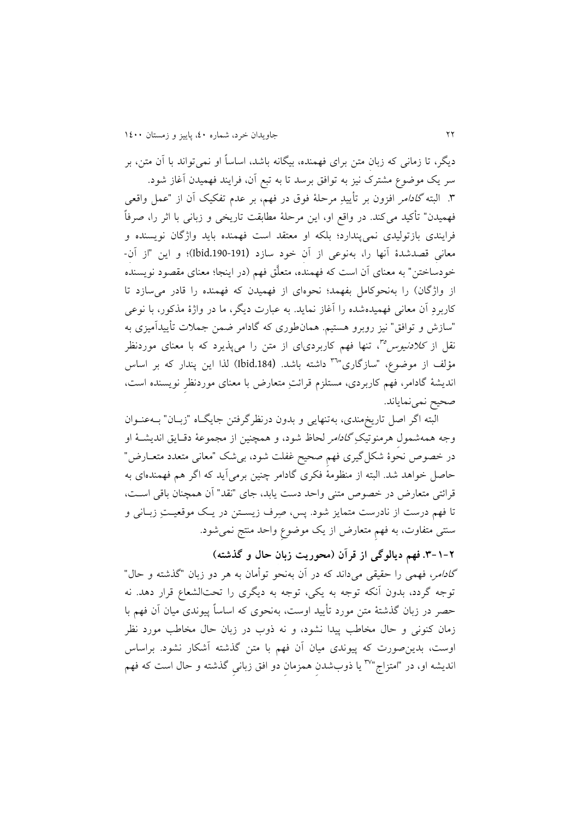ديگر، تا زمانی که زبان متن برای فهمنده، بیگانه باشد، اساساً او نمیتواند با آن متن، بر ِ ِ ِ سر يک موضو مشترک نیز به توافق برسد تا به تبع آن، فرايند فهمیدن آغاز شودد ۳. البته *گادامر* افزون بر تأييدِ مرحلهٔ فوق در فهم، بر عدم تفکيک آن از "عمل واقعی فهمیدن" تأکید می کند. در واقع او، اين مرحلهٔ مطابقت تاريخی و زبانی با اثر را، صرفاً فرايندی بازتولیدی نمی ِ پندارد؛ بلکه او متتقد است فهمنده بايد واژگان نويسنده و معانی قصدشدهٔ آنها را، بهنوعی از آن خود سازد (191-190bid)؛ و اين "از آن-خودساختن" به معنای آن است که فهمنده، متعلَّق فهم (در اينجا؛ معنای مقصود نويسنده از واژگان) را به نحوکامل بفهمد؛ نحوهای از فهمیدن که فهمنده را قادر می سازد تا کاربردِ آن معانی فهمیدهشده را آغاز نماید. به عبارت ديگر، ما در واژهٔ مذکور، با نوعی "سازش و توافق" نیز روبرو هستیم. همانطوری که گادامر ضمن جملات تأییدآمیزی به نقل از *کلادنیوس <sup>مم</sup>،* تنها فهم کاربردی|ی از متن را میپذیرد که با معنای موردنظر مؤلف از موضوع، "سازگاری"<sup>۳٦</sup> داشته باشد. (1bid.184) لذا اين پندار که بر اساس اند ِ يشة گادامر، فهم کاربردی، مستلزم ِ ِ قرائت متتارض با متنای موردنظر نويسنده است، صحيح نمينماياند.

البته اگر اصل تاريخمندی، بهتنهايی و بدون درنظرگرفت جايگکاه "زبکان " بکه عنکوان وجه همهشمول هرمنوتیکِ *گادامر* لحاظ شود، و همچنین از مجموعهٔ دقـایق اندیشـهٔ او در خصوص نحوهٔ شکلگیری فهم صحیح غفلت شود، بیشک "معانی متعدد متعـارض" حاصل خواهد شدد البته از منظومة فکری گادامر چنی برمیآيد که اگر هم فهمندهای به قرائتی متتارض در خصو متنی واحد دست يابد، جای "نقد" آن همچنان باقی اسکت، تا فهم درست از نادرست متمايز شود. پس، صِرف زيسـتن در يـک موقعيــتِ زبــانی و سنتی متفاوت، به فهمِ متعارض از يک موضوعِ واحد منتج نمیشود.

**.3-1-2فهم دیالوگی از قرآن )محوریت زبانِ حال و گذشته(** گادامر، فهمی را حقیقی میداند که در آن بهنحو ِ توأمان به هر دو زبان "گذشته و حال" توجه گردد، بدون آنکه توجه به يکي، توجه به ديگری را تحتالشعاع قرار دهد. نه حصر در زبان گذشتهٔ متن مورد تأیید اوست، بهنحوی که اساساً پیوندی میان آن فهم با زمان کنونی و حال مخاطب پیدا نشود، و نه ذوب در زبان حال مخاطب مورد نظر اوست، بدين صورت که پيوندي ميان آن فهم با متن گذشته آشکار نشود. براساس اندیشه او، در "امتزاج"<sup>γ</sup>" یا ذوبشدن همزمان دو افق زبانی گذشته و حال است که فهم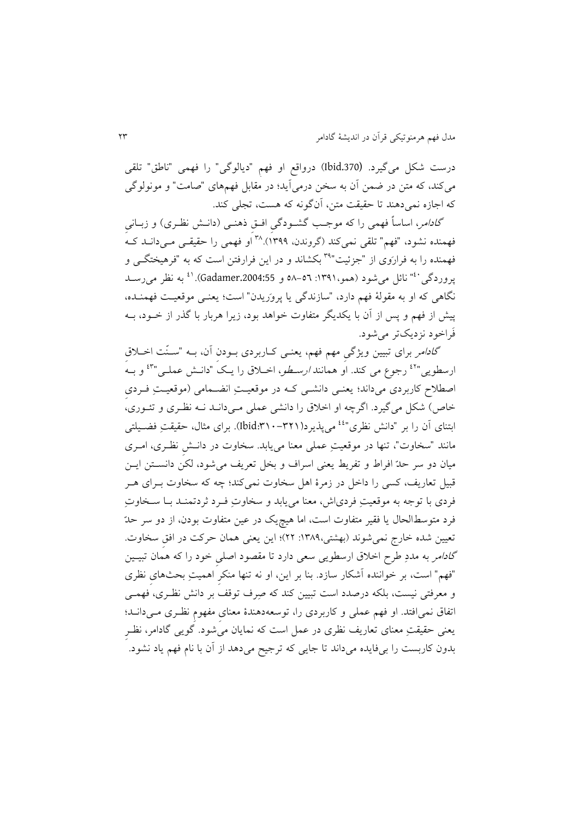درست شکل میگیردد (.370Ibid )در ِ واقع او فهم "ديالوگی" را فهمی "ناطق" تلقی می کند، که متن در ضمن آن به سخن درمی آید؛ در مقابل فهمهای "صامت" و مونولوگی که اجازه نمیدهند تا حقیقت متن، آنگونه که هست، تجلی کند.

گا*دامر*، اساساً فهمی را که موجب گشـودگی افـقِ ذهنـیِ (دانــش نظـری) و زبــانی فهمنده نشود، "فهم" تلقی نمیکند (گروندن، ۱۳۹۹).^۳ اَو فهمی را حقیقـی مـیدانــد کــهُ فهمنده را به فراروی از "جزئیت"\*آ بکشاند و در این فرارفتن است که به "فرهیختگ<sub>ی</sub> و پروردگی <sup>۴۰</sup> نائل میشود (همو،١٣٩١: ٥٦–٥٨ و Gadamer.2004:55). <sup>٤١</sup> به نظر میرســد نگاهی که او به مقولة فهم دارد، "سازندگی يا پرو ريدن" است؛ يتنکی موقتیکت فهمنکده ، پیش از فهم و پس از آن با يکديگر متفاوت خواهد بود، زيرا هربار با گذر از خــود، بــه ف راخود نزديکتر میشودد

گا*دامر ب*رای تبیین ویژگیِ مهم فهم، یعنـی کـاربردی بــودن آن، بــه "ســنّت اخــلاق رسطویی"<sup>٤٢</sup> رجوع می کند. او همانند *ارسطو*، اخــلاق را یـک "دانــش عملــی"<sup>٤٣</sup> و بــه اصطلاح کاربردی میداند؛ يعنـی دانشـی کـه در موقعیـتِ انضـمامی (موقعیـتِ فـردی خاص) شکل میگیرد. اگرچه او اخلاق را دانشی عملی مـیدانــد نــه نظـری و تئــوری، ابتنای آن را بر "دانش نظری"<sup>؛ می</sup>پذیرد(۳۲۱۰–۱bid:۳۱۰). برای مثال، حقیقتِ فضـیلتی مانند "سخاوت"، تنها در موقعیتِ عملی معنا مییابد. سخاوت در دانـش نظـری، امـری میان دو سر حدّ افراط و تفريط يعنی اسراف و بخل تعريف می شود، لکن دانســتن ايــن قبیل تعاریف، کسی را داخل در زمرهٔ اهل سخاوت نمیکند؛ چه که سخاوت بــرای هــر فردی با توجه به موقعیتِ فردیاش، معنا مییابد و سخاوتِ فـرد ثردتمنـد بـا سـخاوتِ فرد متوسطالحال يا فقير متفاوت است، اما هيچيک در عين متفاوت بودن، از دو سر حدّ تعیین شده خارج نمیشوند (بهشتی،١٣٨٩: ٢٢)؛ این یعنی همان حرکت در افق سخاوت. گاد*امر به مددِ طرح اخلاق ارسطویی سعی دارد تا مقصود اصلی خود را که همان تبی*ین "فهم" است، بر خواننده آشکار سازد. بنا بر این، او نه تنها منکرِ اهمیتِ بحثهای نظری و معرفتی نیست، بلکه درصدد است تبیین کند که صِرف توقف بر دانش نظـری، فهمـی اتفاق نمیافتدد او فهم عملی و کاربردی را، توستهدهندة متنایِ مفهومِ نظکری مکی دانکد ؛ يعنی حقیقتِ معنای تعاريف نظری در عمل است که نمايان میشود. گويی گادامر، نظـر بدون کاربست را بیفايده میداند تا جايی که ترجيح میدهد از آن با نام فهم ياد نشود.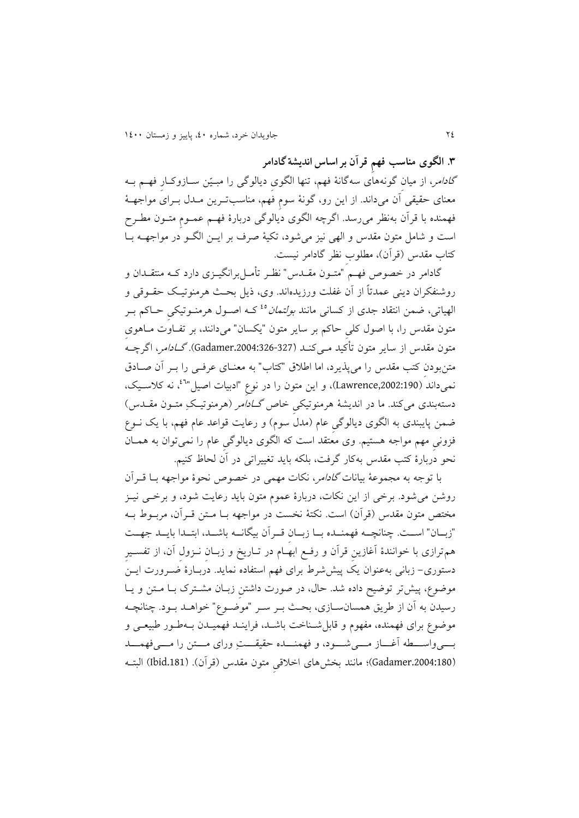**.6 الگوی مناسب فهمِ قرآن بر اساس اندیشةگادامر**

*گادامر*، از میان گونههای سهگانهٔ فهم، تنها الگوی دیالوگی را مبـیّن سـازوکـار فهــم بــه معنای حقیقی اَن میداند. از این رو، گونهٔ سوم فهم، مناسبترین مـدل بـرای مواجهـهٔ فهمنده با قرآن بهنظر میرسد. اگرچه الگوی ديالوگی دربارهٔ فهم عمـومِ متـون مطـرحِ است و شامل متون مقدس و الهی نیز میشود، تکیة صرف بر ايک الگکو در مواجهکه بکا کتاب مقدس )قرآن(، مللوبِ نظر گادامر نیستد

گادامر در خصوص فهـم "متـون مقــدس" نظـر تأمــلبرانگیــزی دارد کــه منتقــدان و روشنفکران دينی عمدتاً از آن غفلت ورزيدهاند. وی، ذيل بحث هرمنوتیک حقــوقی و الهیاتی، ضمن انتقاد جدی از کسانی مانند *بولتمان<sup>ه؛</sup> ک*ه اصـول هرمنـوتیکی حـاکم بـر متون مقدس را، با اصول کلیِ حاکم بر سایر متون "يکسان" میدانند، بر تفـاوت مـاهوی متون مقدس از ساير متون تأکيد مــیکنــد (327-326:Gadamer). *گــادامر*، اگرچــه متن بودن کتب مقدس را می پذیرد، اما اطلاق "کتاب" به معنــای عرفــی را بــر آن صــادق نمیداند (Lawrence,2002:190). و این متون را در نوعِ "ادبیات اصیل"<sup>۲</sup>، نه کلاسـیک، دستهبندی میکند. ما در اندیشهٔ هرمنوتیکی خاص *گــادآمر (ه*رمنوتیـکِ متــون مقــدس) ضمن پايبندی به الگوی ديالوگی عام (مدل سوم) و رعايت قواعد عام فهم، با يک نــوع فزونیِ مهم مواجه هستیمد وی متتقد است که الگوی ديالوگیِ عام را نمیتوان به همکان نحو دربارهٔ کتب مقدس بهکار گرفت، بلکه بايد تغيیراتی در آن لحاظ کنیم.

با توجه به مجموعهٔ بیانات *گادام*ر، نکات مهمی در خصوص نحوهٔ مواجهه بــا قــرآن روشن می شود. برخی از اين نکات، دربارهٔ عموم متون بايد رعايت شود، و برخــی نيــز مختص متون مقدس (قرآن) است. نکتهٔ نخست در مواجهه بــا مــتن قــرآن، مربــوط بــه "زبـان" اسـت. چنانچـه فهمنـده بـا زبـان قـرآن بیگانــه باشـد، ابتـدا بايـد جهـت هم ترازی با خوانندهٔ آغازين قرآن و رفـع ابهـام در تـاريخ و زبــان نــزول آن، از تفســير دستوری– زبانی بهعنوان يک پيش شرط برای فهم استفاده نمايد. دربـارهٔ صـرورت ايــنُ موضوع، پیش تر توضیح داده شد. حال، در صورت داشتن زبـان مشـترک بـا مـتن و يـا رسیدن به آن از طریق همسانسـازی، بحـث بــر ســر "موضــوع" خواهــد بــود. چنانچــه موضوع برای فهمنده، مفهوم و قابل شـناخت باشـد، فراينـد فهميـدن بـهطـور طبيعـي و بسکیواسکه آغـاز مسکی شسود، و فهمنـــده حقیقـــتِ ورای مـــتن را مــــیفهمـــد (Gadamer.2004:180)؛ مانند بخشهای اخلاقی متون مقدس (قرآن). (181.bid.181) البت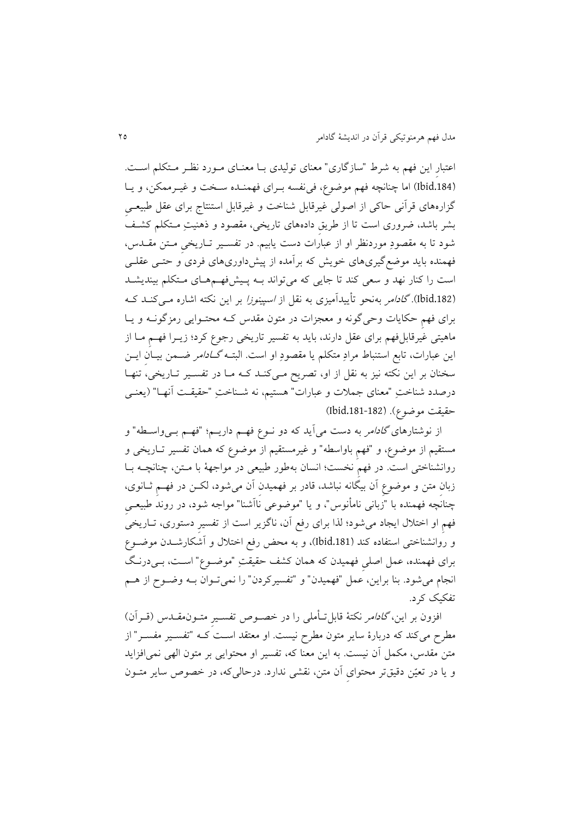اعتبار این فهم به شرط "سازگاری" معنای تولیدی بـا معنـای مـورد نظـر مـتکلم اسـت. (Ibid.184) اما چنانچه فهم موضوع، فی نفسه بـرای فهمنـده سـخت و غیـرممکن، و يـا گزارههای قرآنی حاکی از اصولی غیرقابل شناخت و غیرقابل استنتاج برای عقل طبیعے بشر باشد، ضروری است تا از طريقِ دادههای تاريخی، مقصود و ذهنیتِ مکتکلم کشکف شود تا به مقصودِ موردنظر او از عبارات دست يابيم. در تفسـير تـاريخیِ مـتن مقــدس، فهمنده بايد موضعگیریهای خويش که برآمده از پیشداوریهای فردی و حتکی عقلکی است را کنار نهد و سعی کند تا جایی که میتواند بــه پـیشفهــمهـای مــتکلم بیندیشــد (Ibid.182). *گادامر* بهنحو تأييدآميزی به نقل از *اسپينوزا* بر اين نکته اشاره مـیکنـد ک برای فهم حکايات وحیگونه و معجزات در متون مقدس کـه محتـوايی رمزگونــه و يــا ماهیتی غیرقابلفهم برای عقل دارند، بايد به تفسیر تاريخی رجوع کرد؛ زيـرا فهـم مـا از اين عبارات، تابع استنباط مرادِ متکلم يا مقصودِ او است. البتـه *گـادامر ضـ*من بيـان ايــن سخنان بر اين نکته نيز به نقل از او، تصريح مـىکنـد کـه مـا در تفسـير تـاريخى، تنهـا درصدد شناختِ "معنای جملات و عبارات" هستیم، نه شــناختِ "حقیقــت آنهــا" (يعنــی حقیقت موضوع). (182-181،182)

از نوشتارهای *گادامر* به دست میآید که دو نــوع فهــم داريـــم؛ "فهــم بــ<sub>ي</sub>واســطه" و مستقیم از موضو ، و "فهمِ باواسله" و غیرمستقیم از موضو که همان تفسیر تکاريخی و روانشناختی است. در فهمِ نخست؛ انسان بهطور طبیعی در مواجههٔ با مـتن، چنانچـه بــا زبان متن و موضوع اَن بیگانه نباشد، قادر بر فهمیدن اَن میشود، لکـن در فهـم ثــانوی، چنانچه فهمنده با "زبانی نامأنوس"، و یا "موضوعی ناآشنا" مواجه شود، در روند طبیعـیِ فهمِ او اختلال ايجاد میشود؛ لذا برای رفع آن، ناگزير است از تفسيرِ دستوری، تــاريخی و روانشناختی استفاده کند (.181Ibid)، و به محض رفع اختمل و آشکارشکدن موضکو برای فهمنده، عمل اصلیِ فهمیدن که همان کشف حقیقتِ "موضکو " اسکت، بکی درنکگ انجام میشود. بنا براین، عمل "فهمیدن" و "تفسیرکردن" را نمیتحوان بــه وضــوح از هــم تفکیک کردد

افزون بر این، *گادامر* نکتهٔ قابل**تأملی را در خصوص تفسیرِ متـون**مقـدس (قــراَن) مطرح میکند که دربارهٔ سایر متون مطرح نیست. او معتقد است کـه "تفسـیر مفسـر" از متن مقدس، مکمل آن نیست. به اين معنا که، تفسير او محتوايی بر متون الهی نمی افزايد و يا در تعيّن دقيقتر محتوای آن متن، نقشی ندارد. درحالیکه، در خصوص ساير متــون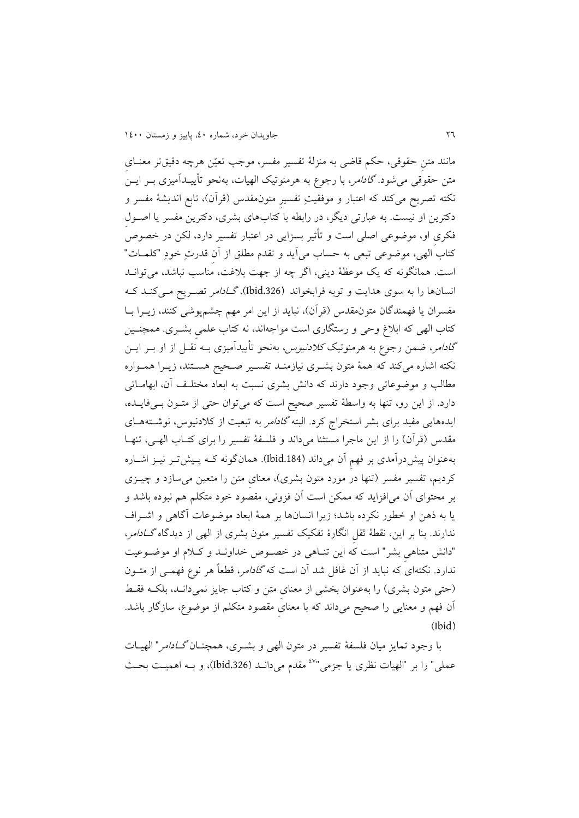مانند متن حقوقی، حکم قاضی به منزلهٔ تفسیر مفسر، موجب تعیّن هرچه دقیقتر معنـای متن حقوقی میشود *گادامر*، با رجوع به هرمنوتیک الهیات، بهنحو تأییـدآمیزی بـر ایــن نکته تصريح میکند که اعتبار و موفقيتِ تفسيرِ متونمقدس (قرآن)، تابع انديشهٔ مفسر و دکترين او نيست. به عبارتی ديگر، در رابطه با کتابهای بشری، دکترين مفسر يا اصـول فکری او، موضوعی اصلی است و تأثیر بسزایی در اعتبار تفسیر دارد، لکن در خصوصً کتاب الهی، موضوعی تبعی به حساب میآید و تقدم مطلق از آن قدرتِ خودِ "کلمـات" است. همانگونه که يک موعظهٔ ديني، اگر چه از جهت بلاغت، مناسب نباشد، میتوان انسانها را به سوی هدايت و توبه فرابخواند (1bid.326). *گـادامر* تصـريح مـى کنـد کـه مفسران يا فهمندگان متونمقدس (قرآن)، نبايد از اين امر مهم چشمپوشی کنند، زيـرا بــا کتاب الهی که ابلاغ وحی و رستگاری است مواجهاند، نه کتاب علمی بشــری. *همچنــین* گ*ادامر*، ضمن رجوع به هرمنوتیک *کلادنیوس*، بهنحو تأییدآمیزی بـه نقـل از او بــر ایــن نکته اشاره میکند که همهٔ متون بشـری نیازمنـد تفسـیر صـحیح هسـتند، زيـرا همـواره مطالب و موضوعاتی وجود دارند که دانش بشری نسبت به ابعاد مختلف آن، ابهامـاتی دارد. از اين رو، تنها به واسطهٔ تفسیر صحیح است که میتوان حتی از متــون بــیفايــده، ايدههايی مفيد برای بشر استخراج كرد. البته *گادامر* به تبعيت از كلادنيوس، نوشـتههـای مقدس (قرآن) را از اين ماجرا مستثنا میداند و فلسفهٔ تفسیر را برای کتـاب الهـی، تنهـا بهعنوان پیشدرآمدی بر فهمِ آن میداند (.184Ibid)د همانگونه ککه پکیش تکر نیکز اشکاره کرديم، تفسير مفسر (تنها در مورد متون بشری)، معنای متن را متعین می سازد و چیـزی بر محتوای آن میافزايد که ممک است آن فزونی، مقصود خود متکلم هم نبوده باشد و يا به ذهن او خطور نکرده باشد؛ زيرا انسانها بر همهٔ ابعاد موضوعات آگاهی و اشبراف ندارند. بنا بر اين، نقطهٔ ثقل انگارهٔ تفکیک تفسیر متون بشری از الهی از دیدگاه *گــادامر*، "دانش متناهی بشر" است که این تنـاهی در خصـوص خداونـد و کـلام او موضـوعیت ندارد. نکتهای که نبايد از آن غافل شد آن است که *گادامر*، قطعاً هر نوع فهمـی از متــون (حتی متون بشری) را بهعنوان بخشی از معنای متن و کتاب جايز نمیدانـلد، بلکـه فقـط آن فهم و متنايی را صحیح میداند که با متنایِ مقصود متکلم از موضو ، سازگار باشدد  $(Ibid)$ 

با وجود تمايز ميان فلسفهٔ تفسير در متون الهی و بشـری، همچنـان *گــادامر*" الهيــات عملی" را بر "الهیات نظری یا جزمی"<sup>۶۷</sup> مقدم میدانـد (Ibid.326)، و بـه اهمیـت بحـث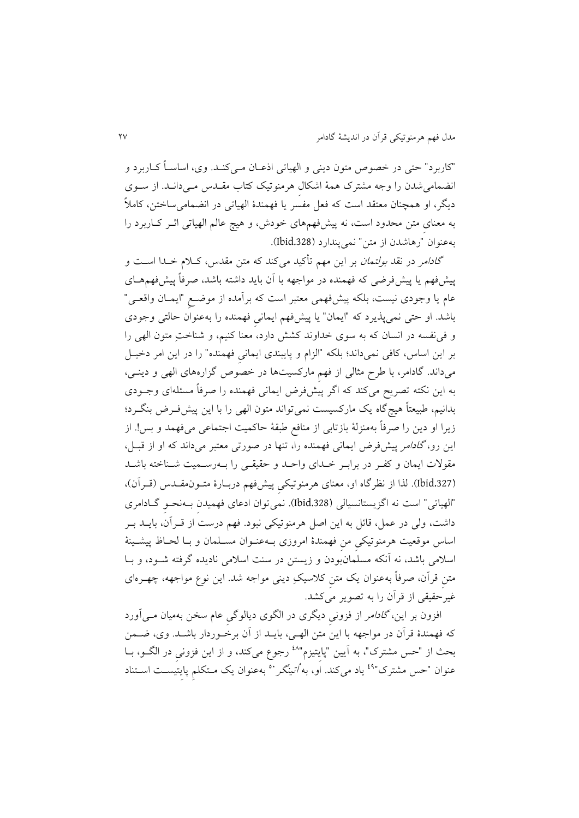"کاربرد" حتی در خصوص متون دينی و الهياتی اذعـان مــیکنــد. وی، اساســاً کــاربرد و انضمامیشدن را وجه مشترک همة اشکالِ هرمنوتیک کتاب مقکدس مکی دانکدد از سکوی ديگر، او همچنان معتقد است که فعل مفسّر يا فهمندهٔ الهیاتی در انضمامیِساختن، کاملاً به معنای متن محدود است، نه پیشفهمهای خودش، و هیچ عالم الهیاتی اثــر کــاربرد را بهعنوان "رهاشدن از متن" نمی پندارد (1bid.328).

گا*دامر در نقد بولتمان ب*ر اين مهم تأکيد ميکند که متن مقدس، کـلام خـدا اسـت و پیشفهم یا پیشفررضی که فهمنده در مواجهه با آن باید داشته باشد، صرفاً پیشفهمهمای عام يا وجودی نیست، بلکه پیشفهمی متتبر است که برآمده از موضکعِ "ايمکان واقتکی " باشدد او حتی نمیپذيرد که "ايمان" يا پیشفهم ايمانیِ فهمنده را بهعنوان حالتی وجودی و فینفسه در انسان که به سوی خداوند کشش دارد، متنا کنیم، و شناختِ متون الهی را بر اين اساس، کافی نمیداند؛ بلکه "الزام و پايبندی ايمانی فهمنده" را در اين امر دخيـل میداندد گادامر، با طر مثالی از فهمِ مارکسیتها در خصو گزارههای الهی و دينکی، به اين نکته تصريح میکند که اگر پيشفرض ايمانی فهمنده را صرفاً مسئلهای وجـودی بدانیم، طبیعتاً هیچگاه یک مارکسیست نمیتواند متون الهی را با این پیش فـرض بنگـرد؛ زيرا او دين را صرفاً بهمنزلهٔ بازتابی از منافع طبقهٔ حاکمیت اجتماعی میفهمد و بس! از اين رو، *گادامر* پيشفرض ايمانی فهمنده را، تنها در صورتی معتبر میداند که او از قبـل، مقولات ايمان و کفر در برابـر خـدای واحـد و حقیقـی را بــهرســمیت شــناخته باشــد (Ibid.327). لذا از نظرگاه او، معنای هرمنوتیکی پیشفهم دربـارهٔ متـون.مقـدس (قـراَن)، "الهیاتی" است نه اگزيستانسیالی (.328Ibid)د نمیتوان ادعای فهمیدنِ بکه نحکوِ گکادامری داشت، ولی در عمل، قائل به اين اصل هرمنوتیکی نبود. فهم درست از قـرآن، بايــد بـر اساس موقعیت هرمنوتیکی من فهمندهٔ امروزی بـهعنـوان مسـلمان و بـا لحـاظ پیشـینهٔ اسلامی باشد، نه آنکه مسلمانبودن و زيستن در سنت اسلامی ناديده گرفته شـود، و بـا متن قرآن، صرفاً بهعنوان يک متن کلاسيکِ دينی مواجه شد. اين نوع مواجهه، چهـرهای غیرحقیقی از قرآن را به تصوير میکشدد

افزون بر اين، *گادامر* از فزونی ديگری در الگوی ديالوگی عام سخن بهميان م<sub>حی</sub>آورد که فهمندهٔ قرآن در مواجهه با اين متن الهـي، بايـد از آن برخـوردار باشـد. وي، ضـمن بحث از "حس مشترک"، به اَيين "پايتيزم"<sup>٤٨</sup> رجوع میکند، و از اين فزونی در الگــو، بــا عنوان "حس مشترک"<sup>٤٩</sup> ياد میکند. او، به *اُتينگر* ° بهعنوان يک مـتکلم پايتيسـت اســتناد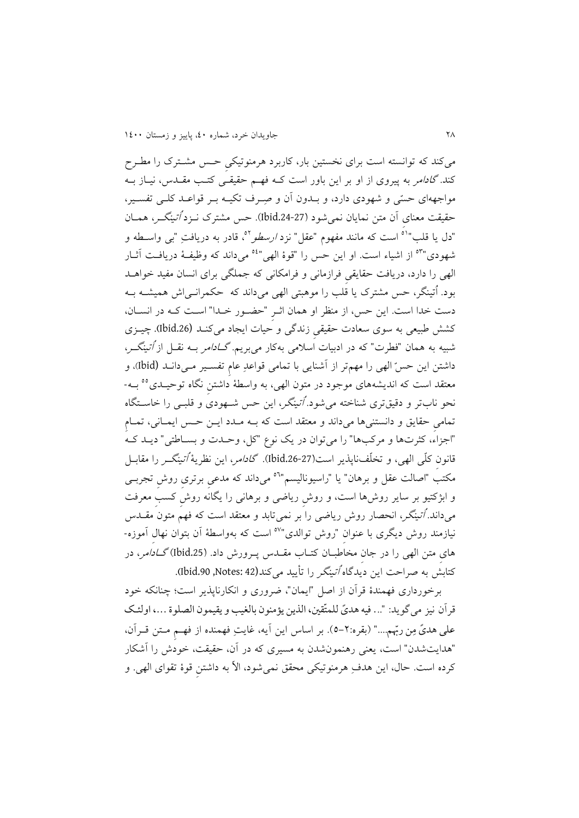میکند که توانسته است برای نخستین بار، کاربرد هرمنوتیکی حس مشترک را مطرح کند. *گادامر* به پیروی از او بر این باور است کــه فهــم حقیقــی کتــب مقــدس، نیــاز بــه مواجههای حسّی و شهودی دارد، و بـدون آن و صِرف تکیــه بــر قواعــد کلــی تفســیر، حقیقت معنای آن متن نمایان نمی شود (27-1bid.24). حس مشترک نــزد *اُتینگــر*، همــان "دل يا قلب"<sup>٥١</sup> است كه مانند مفهوم "عقل" نزد *ارسطو*°°، قادر به دريافتِ "بی واســطه و شهودی"<sup>۵۳</sup> از اشیاء است. او این حس را "قوهٔ الهی"<sup>۵٤</sup> میداند که وظیفـهٔ دریافـت آثــار الهی را دارد، دريافت حقايقیِ فرازمانی و فرامکانی که جملگی برای انسان مفید خواهکد بود. اُتینگر، حس مشترک یا قلب را موهبتی الهی میداند که حکمرانسیاش همیشـه بـه دست خدا است. اين حس، از منظر او همان اثـر "حضـور خـدا" اسـت کـه در انسـان، کشش طبیتی به سوی ستادآ حقیقیِ زندگی و حیاآ ايجاد میکنکد (.26Ibid**).** چیکزی شبیه به همان "فطرت" که در ادبیات اسلامی بهکار م<u>یبری</u>م. *گــادامر* بــه نقــل از *اُتینگــر*، داشتن اين حسّ الهی را مهمتر از آشنايی با تمامی قواعدِ عام تفسـير مـیدانـد (Ibid)، و معتقد است که اندیشههای موجود در متون الهی، به واسطهٔ داشتنِ نگاه توحیـدی°° بــه-نحو نابتر و دقیقتری شناخته می شود. *اُتینگر*، این حس شـهودی و قلبـی را خاسـتگاه تمامیِ حقايق و دانستنیها میداند و معتقد است که بـه مـدد ايـن حـس ايمـانی، تمـام "اجزاءً، کثرتها و مرکبها" را میتوان در يک نوع "کل، وحـدت و بســاطتی" ديــد کــه قانون کلّی الهی، و تخلّفناپذير است(27-1bid.26). *گادامر*، اين نظريهٔ *اُتينگر ر*ا مقابــل مکتبِ "اصالت عقل و برهان" یا "راسیونالیسم"<sup>۵</sup> میِ داند که مدعی برتری روش تجربــی و ابژکتیو بر ساير روشها است، و روشِ رياضی و برهانی را يگانه روشِ کس ِ مترفت میداند. *اُتینگر*، انحصار روش ریاضی را بر نمی تابد و معتقد است که فهم متون مقـدس نیازمند روش دیگری با عنوانِ "روش توالدی"<sup>۵۷</sup> است که بهواسطهٔ آن بتوان نهالِ آموزه-های متن الهی را در جان مخاطبـان کتـاب مقــدس پــرورش داد. (1bid.25)*گــادامر*، در کتابش به صراحت اين ديدگاه *أتينگر* را تأييد مي کند(42 :Ibid.90, Notes).

برخورداری فهمندة قرآن از اصل "ايمان"، ضروری و انکارناپذير است؛ چنانکه خود قرآن نيز مي گويد: "... فيه هديً للمتّقين، الذين يؤمنون بالغيب و يقيمون الصلوة ...، اولئك علی هدیً مِن ربّهم...." (بقره:٢–٥). بر اساس اين آيه، غايتِ فهمنده از فهـمِ مــتن قــراَن، "هدايتشدن" است، يتنی رهنمونشدن به مسیری که در آن، حقیقت، خودش را آشکار کرده است. حال، اين هدفِ هرمنوتيکی محقق نمیشود، الاّ به داشتن قوهٔ تقوای الهی. و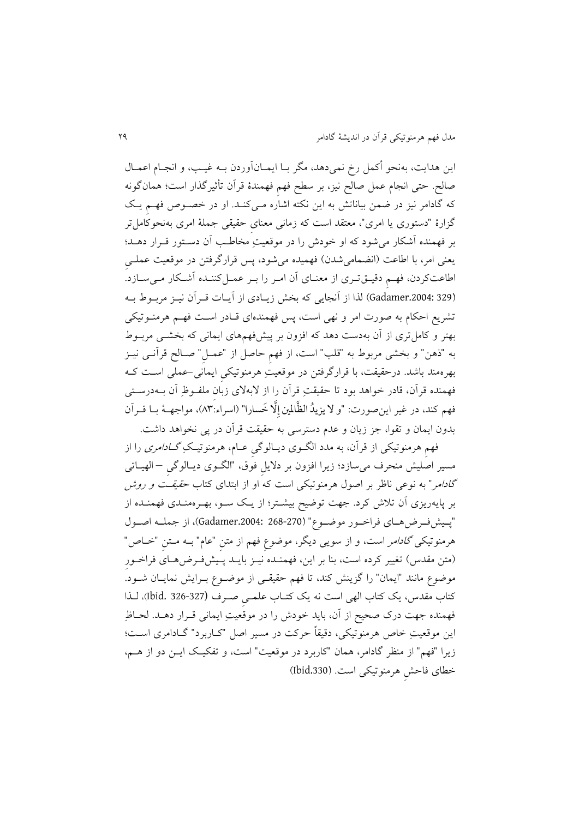اين هدايت، بهنحو أکمل رخ نميدهد، مگر بـا ايمـانآوردن بـه غيـب، و انجـام اعمـال صالح. حتی انجام عمل صالح نیز، بر سطح فهم فهمندهٔ قرآن تأثیرگذار است؛ همانگونه که گادامر نیز در ضمن بیاناتش به این نکته اشاره مـیکنـد. او در خصـوص فهـم یـک گزارة "دستوری يا امری"، متتقد است که زمانی متنایِ حقیقی جملة امری بهنحوکاملتر بر فهمنده آشکار میشود که او خودش را در موقتیتِ مخاطک آن دسکتور قکرار دهکد؛ يعنی امر، با اطاعت (انضمامیشدن) فهمیده میشود، پس قرارگرفتن در موقعیت عملـی اطاعتکردن، فهمِ دقیـقتـری از معنـای آن امـر را بـر عمـلکننـده آشـکار مـیسـازد. (329 .3204:329) لذا از آنجايی که بخش زيـادی از آيـات قـرآن نيـز مربـوط بـه تشريع احکام به صورت امر و نهی است، پس فهمندهای قـادر اسـت فهـم هرمنـوتیکی بهتر و کاملتری از آن بهدست دهد که افزون بر پیشفهمهای ايمانی که بخشکی مربکوط به "ذهن" و بخشی مربوط به "قلب" است، از فهم حاصل از "عمـل" صـالح قرآنـی نیـز بهرهمند باشدد درحقیقت، با قرارگرفت در موقتیتِ هرمنوتیکیِ ايمانی-عملی اسکت ککه فهمنده قرآن، قادر خواهد بود تا حقیقتِ قرآن را از لابهلای زبان ملفـوظِ ِ آن بــهدرسـتی فهم کند، در غیر اینِصورت: "و لا یزیدُ الظَّالمین إِلَّا خَسارا" (اسراء:۸۳)، مواجهــهٔ بــا قــرآن بدون ايمان و تقوا، جز زيان و عدم دسترسی به حقیقت قرآن در پی نخواهد داشتد

فهمِ هرمنوتیکی از قرآن، به مدد الگـوی دیـالوگیِ عــام، هرمنوتیـکِ *گــادامری* را از مسیر اصلیش منحرف میسازد؛ زيرا افزون بر داليلِ فوق، "الگکوی ديکالوگیِ – الهیکاتی گادامر" به نوعی ناظر بر اصول هرمنوتیکی است که او از ابتدای کتاب حقیقکت و روش بر پايهريزی آن تلاش کرد. جهت توضيح بيشـتر؛ از يـک سـو، بهـرهمنـدی فهمنـده از "پکیشفکرضهکای فراخکور موضکو " (268-270 .2004:Gadamer)، از جملکه اصکول هرمنوتیک*ی گادامر* است، و از سویی دیگر، موضوع فهم از متن "عام" بــه مــتن "خــاص" (متن مقدس) تغییر کرده است، بنا بر این، فهمنـده نیـز بایـد پـیشفرض٥هـای فراخـور موضوع مانند "ايمان" را گزينش کند، تا فهم حقيقـی از موضـوع بـرايش نمايـان شـود. کتاب مقدس، يک کتاب الهی است نه يک کتکاب علمکیِ صکرف (326-327 .Ibid)، لکذا فهمنده جهت درک صحیح از آن، بايد خودش را در موقعيتِ ايمانی قـرار دهــد. لحــاظِ این موقعیتِ خاص هرمنوتیکی، دقیقاً حرکت در مسیر اصل "کـاربرد" گــادامری اسـت؛ زيرا "فهم" از منظر گادامر، همان "کاربرد در موقعيت" است، و تفکيک ايـن دو از هــم، خلای فاحشِ هرمنوتیکی استد (.330Ibid)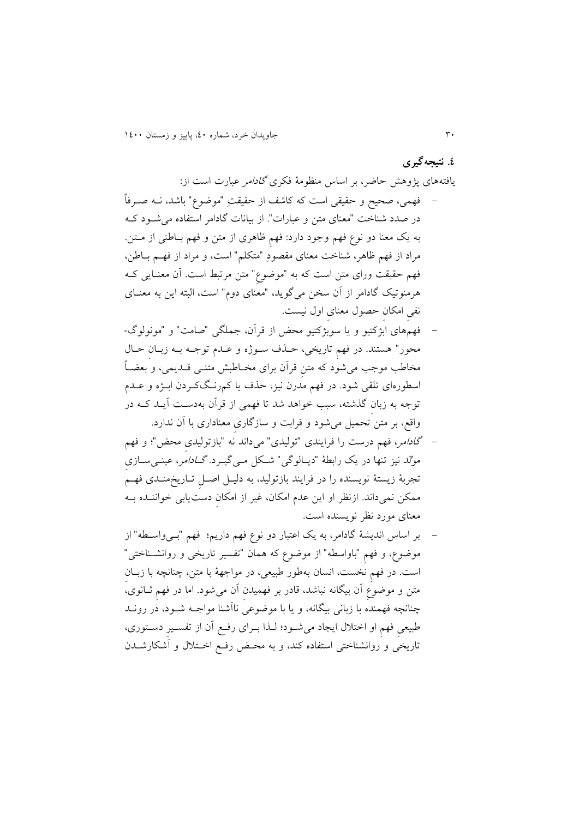**.0 نتیجهگیری** يافتههای پژوهش حاضر، بر اساس منظومهٔ فکری *گادامر* عبارت است از: - فهمی، صحیح و حقیقی است که کاشف از حقیقتِ "موضو " باشد، نکه صکرفاً در صدد شناخت "معنای متن و عبارات". از بیانات گادامر استفاده می شود ک به يک معنا دو نوع فهم وجود دارد: فهم ظاهری از متن و فهم بـاطنی از مــتن. مراد از فهم ظاهر، شناخت معنای مقصودِ "متکلم" است، و مراد از فهـم بـاطن، فهم حقیقت ورای متن است که به "موضوع" متن مرتبط است. آن معنـایی کــه هرمنوتیک گادامر از آن سخن میگوید، "معنای دوم" است، البته این به معنـای نفیِ امکانِ حصول متنایِ اول نیستد

- فهمهای ابژکتیو و يا سوبژکتیو محض از قرآن، جملگی "صامت" و "مونولوگ- محور" هستندد در فهمِ تاريخی، حکذف سکوژه و عکدم توجکه بکه زبکانِ حکال مخاطب موجب می شود که متن قرآن برای مخـاطبش متنــی قــدیمی، و بعضــاً اسلورهای تلقی شودد در فهم مدرن نیز، حذف يا کمرنکگ ککردن ابکژه و عکدم توجه به زبانِ گذشته، سب خواهد شد تا فهمی از قرآن بهدسکت آيکد ککه در واقع، بر متن تحمیل میشود و قرابت و سازگاری معناداری با آن ندارد.
- گادامر، فهم درست را فرايندی "تولیدی" میداند نه "بازتولیدیِ محض"؛ و فهم موِّلد نیز تنها در یک رابطهٔ "دیـالوگی" شـکل مـی گیـرد. *گــادامر، عینـی*ســازی تجربة زيستة نويسنده را در فرايند بازتولید، به دلیکل اصکلِ تکاريخ منکدی فهکم ممکن نمیداند. ازنظر او اين عدم امکان، غیر از امکان دستیابی خواننــده بــه متنای مورد نظر نويسنده استد
- بر اساس انديشة گادامر، به يک اعتبار دو نو فهم داريم؛ فهم "بکی واسکله " از موضوع، و فهم "باواسطه" از موضوع که همان "تفسیر تاریخی و روانشــناختی" است. در فهم نخست، انسان بهطور طبیعی، در مواجههٔ با متن، چنانچه با زبـان متن و موضوع آن بیگانه نباشد، قادر بر فهمیدن آن می شود. اما در فهم ثـانوی، چنانچه فهمنده با زبانی بیگانه، و يا با موضوعی ناآشنا مواجکه شکود، در رونکد طبیعی فهمِ او اختلال ایجاد میشود؛ لـذا بـرای رفـع آن از تفسـیرِ دسـتوری، تاريخی و روانشناختی استفاده کند، و به محـض رفع اخـتلال و آشکارشـدن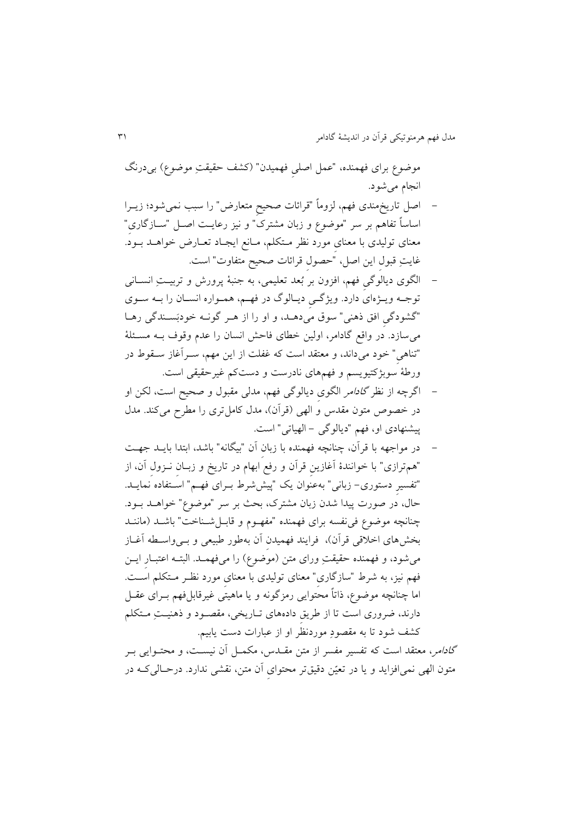موضوع برای فهمنده، "عمل اصلی فهمیدن" (کشف حقیقتِ موضوع) بی درنگ انجام میشودد

- اصل تاريخمندی فهم، لزوماً "قرائاآ صحیحِ متتارض" را سب نمیشود؛ زيکرا اساساً تفاهم بر سر "موضو و زبان مشترک" و نیز رعايکت اصکل "سکازگاریِ " متنای تولیدی با متنایِ مورد نظر مکتکلم، مکانع ايجکاد تتکارض خواهکد بکودد غايتِ قبول اين اصل، "حصول قرائات صحیح متفاوت" است.
- الگوی ديالوگیِ فهم، افزون بر بُتد تتلیمی، به جنبة پرورش و تربیکتِ انسکانی توجـه ويـژهای دارد. ويژگـي ديـالوگ در فهـم، همـواره انسـان را بـه سـوي "گشودگی افق ذهنی" سوق میدهـد، و او را از هـر گونـه خودبَسـندگی رهـا می سازد. در واقع گادامر، اولین خطای فاحش انسان را عدم وقوف بـه مسـئلهٔ "تناهیِ" خود میداند، و متتقد است که غفلت از اي مهم، سکرآغاز سکقوط در ورطة سوبژکتیويسم و فهمهای نادرست و دستکم غیرحقیقی استد
- اگرچه از نظر *گادامر* الگوی دیالوگی فهم، مدلی مقبول و صحیح است، لکن او در خصوص متون مقدس و الهی (قرآن)، مدل کامل تری را مطرح میکند. مدل پیشنهادی او، فهم "ديالوگی - الهیاتی" استد
- در مواجهه با قرآن، چنانچه فهمنده با زبانِ آن "بیگانه" باشد، ابتدا بايکد جهکت "هم ترازی" با خوانندهٔ آغازين قرآن و رفع ابهام در تاريخ و زبــان نــزول آن، از "تفسیرِ دستوری- زبانی" بهعنوان يک "پیششرط بـرای فهـم" اسـتفاده نمايـد. حال، در صورت پیدا شدن زبان مشترک، بحث بر سر "موضوع" خواهـد بــود. چنانچه موضوع فی نفسه برای فهمنده "مفهـوم و قابــلشــناخت" باشــد (ماننــد بخشهای اخلاقی قرآن)، فرايند فهميدن آن بهطور طبيعی و بـیواسـطه آغـاز میشود، و فهمنده حقیقتِ ورای متن (موضوع) را میفهمـد. البتـه اعتبـارِ ايــن فهم نیز، به شرط "سازگاریِ" متنای تولیدی با متنایِ مورد نظکر مکتکلم اسکتد اما چنانچه موضوع، ذاتاً محتوايی رمزگونه و يا ماهيتی غیرقابلفهم بـرای عقــل دارند، ضروری است تا از طريقِ دادههای تکاريخی، مقصکود و ذهنیکتِ مکتکلم کشف شود تا به مقصودِ موردنظر او از عبارات دست يابيم.

گا*دامر*، معتقد است که تفسیر مفسر از متن مقـدس، مکمـل آن نیسـت، و محتـوایی بـر متون الهی نمیافزايد و يا در تعيّن دقيقتر محتوای آن متن، نقشی ندارد. درحـالی کــه در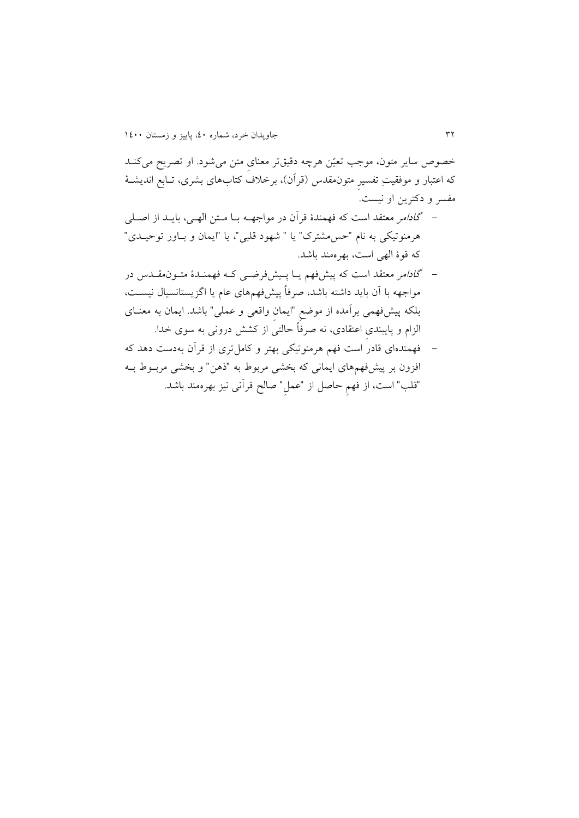خصوص ساير متون، موجب تعيّن هرچه دقيقتر معنای متن می شود. او تصريح میکنـد که اعتبار و موفقیتِ تفسیرِ متونمقدس )قرآن(، برخمف کتابهای بشری، تکابع انديشکة مفسر و دکترين او نيست.

- گادامر متتقد است که فهمندة قرآن در مواجهکه بکا مکت الهکی، بايکد از اصکلی هرمنوتیکی به نام "حس4مشترک" يا " شهود قلبی"، يا "ايمان و بـاور توحيـدی" که قوة الهی است، بهرهمند باشدد
- گ*ادام*ر معتقد است که پیشفهم یـا پـیشفر ضمـی کـه فهمنـدهٔ متـون مقـدس در مواجهه با آن بايد داشته باشد، صرفاً پیشفهمهای عام يا اگزيستانسیال نیسکت، بلکه پیشفهمی برآمده از موضعِ "ايمانِ واقتی و عملی" باشدد ايمان به متنکای الزام و پايبندیِ اعتقادی، نه صرفاً حالتی از کشش درونی به سوی خداد
- فهمندهای قادر است فهم هرمنوتیکی بهتر و کاملتری از قرآن بهدست دهد که افزون بر پیش فهمهای ایمانی که بخشی مربوط به "ذهن" و بخشی مربـوط بــه "قلب" است، از فهم حاصل از "عمل" صالح قرآنی نیز بهرهمند باشد.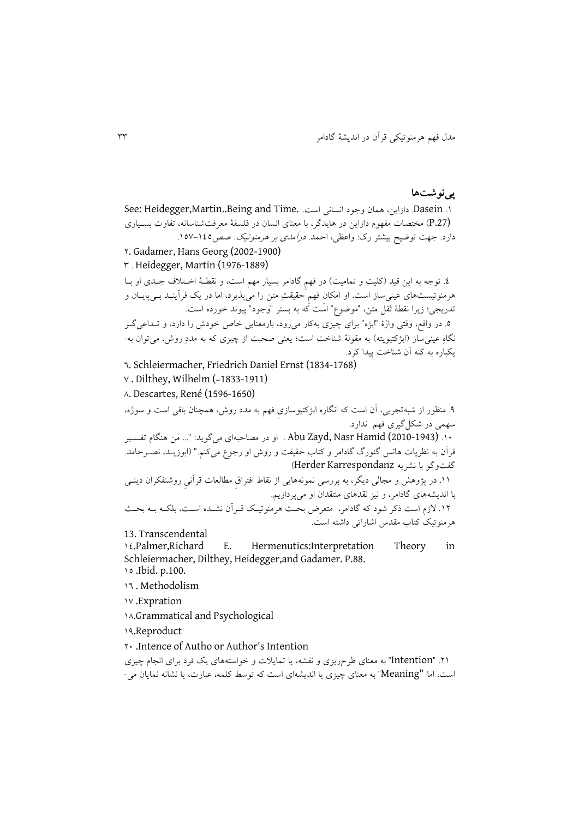## **پینوشتها**

0. Dasein دازاين، همان وجود انساني است. See: Heidegger,Martin,.Being and Time. (P.27) مختصات مفهوم دازاين در هايدگر، با معنای انسان در فلسفهٔ معرفتشناسانه، تفاوت بسـياری دارد. جهت توضیح بیشتر رک: واعظی، احمد. *درآمدی بر هرمنوتیک. صص*120-۱۵۷. 0. Gadamer, Hans Georg (2002-1900) 3 د Heidegger, Martin (1976-1889) ٤. توجه به اين قيد (کليت و تماميت) در فهم گادامر بسيار مهم است، و نقطـهٔ اخـتلاف جـدی او بــا هرمنوتیستهای عینیساز استد او امکانِ فهمِ حقیقتِ مت را میپذيرد، اما در يک فرآينکد بکی پايکان و تدريجي؛ زيرا نقطة ثقل متن، "موضوع" است که به بستر "وجود" پيوند خورده است. 6. در واقع، وقتی واژهٔ "ابژه" برای چیزی بهکار میرود، بارمعنایی خاص خودش را دارد، و تــداعی گــر نگاهِ عینی ساز (ابژکتیویته) به مقولهٔ شناخت است؛ یعنی صحبت از چیزی که به مددِ روش، می توان به-يکباره به کنه آن شناخت پیدا کردد 6. Schleiermacher, Friedrich Daniel Ernst (1834-1768)  $v$ . Dilthey, Wilhelm (-1833-1911) 8. Descartes, René (1596-1650) 9د منظور از شبهتجربی، آن است که انگاره ابژکتیوسازیِ فهم به مدد روش، همچنان باقی است و سوژه، سهمی در شکلگیری فهم نداردد ١٠. (2010-1943) Abu Zayd, Nasr Hamid . او در مصاحبهای می گويد: "... من هنگام تفسير قرآن به نظريات هانس گئورگ گادامر و کتاب حقیقت و روش او رجوع میکنم." (ابوزيـد، نصــرحامد. گفتوگو با نشريه Karrespondanz Herder) 00د در پژوهش و مجالی ديگر، به بررسی نمونههايی از نقاط افتراقِ ملالتاآ قرآنیِ روشنفکران دينکی با انديشههای گادامر، و نیز نقدهای منتقدان او میپردازيمد 00د الزم است ذکر شود که گادامر، متترض بحکث هرمنوتیکک قکرآن نشکده اسکت، بلککه بکه بحکث هرمنوتیک کتاب مقدس اشاراتی داشته استد 13. Transcendental 1.Palmer,Richard E. Hermenutics:Interpretation Theory in Schleiermacher, Dilthey, Heidegger,and Gadamer. P.88. 05 .Ibid. p.100. 06 . Methodolism 07 .Expration

08.Grammatical and Psychological

09.Reproduct

04 .Intence of Autho or Author's Intention

۲۱. "Intention" به معنای طر حريزی و نقشه، يا تمايلات و خواستههای يک فرد برای انجام چيزی است، اما "Meaning "به متنای چیزی يا انديشهای است که توسط کلمه، عبارآ، يا نشانه نمايان می-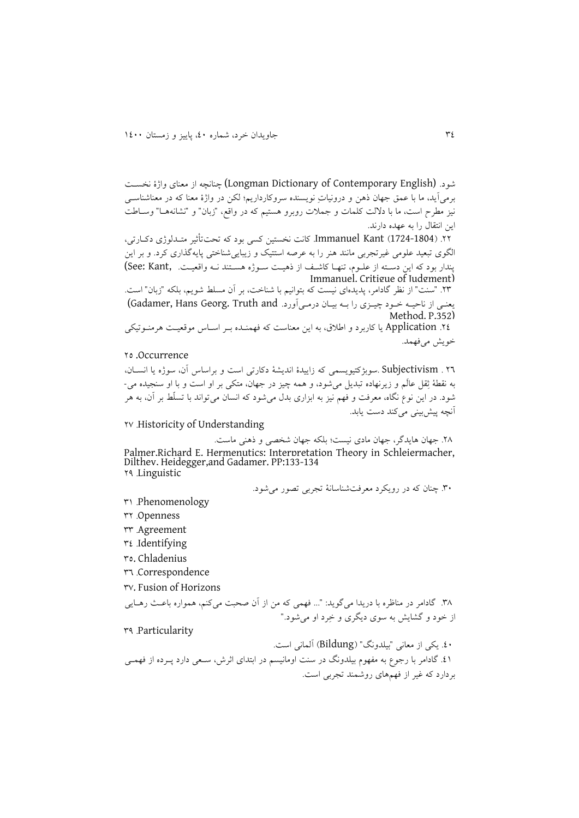شودد (English Contemporary of Dictionary Longman (چنانچه از متنای واژة نخسکت برمی آيد، ما با عمق جهان ذهن و درونيات نويسنده سروکارداريم؛ لکن در واژهٔ معنا که در معناشناسبی نیز مطرح است، ما با دلالت کلمات و جملات روبرو هستیم که در واقع، "زبان" و "نشانههـا" وسـاطت اين انتقال را به عهده دارند.

00د )1724-1804( Kant Immanuelد کانت نخستی کسی بود که تحتت یر متکدلوژی دککارتی، الگوی تبتید علومی غیرتجربی مانند هنر را به عرصه استتیک و زيبايیشناختی پايهگذاری کردد و بر اي پندار بود که اين دسته از علـوم، تنهـا کاشـف از ذهيـت سـوژه هسـتند نـه واقعيـت. See: Kant,) Immanuel. Critigue of Judgment)

03د "سنت" از نظر گادامر، پديدهای نیست که بتوانیم با شناخت، بر آن مسلط شويم، بلکه "زبان" استد يعني از ناحيه خـود چيـزي را بـه بيـان درمـي آورد. Gadamer, Hans Georg. Truth and) Method. P.352)

00د Application يا کاربرد و اطمق، به اي متناست که فهمنکده بکر اسکاس موقتیکت هرمنکوتیکی خويش می فهمد.

## Occurrence. ٢٥

06 د Subjectivism دسوبژکتیويسمی که زايیدة انديشة دکارتی است و براساس آن، سوژه يا انسکان، به نقطهٔ ثِقل عالَم و زیرنهاده تبدیل میشود، و همه چیز در جهان، متکی بر او است و با او سنجیده می-شود. در اين نوع نگاه، معرفت و فهم نيز به ابزاری بدل میشود که انسان میتواند با تسلّط بر آن، به هر آنچه پیش بینی می کند دست يابد.

07 دHistoricity of Understanding

08د جهانِ هايدگر، جهان مادی نیست؛ بلکه جهان شخصی و ذهنی ماستد Palmer,Richard E. Hermenutics: Interpretation Theory in Schleiermacher, Dilthey, Heidegger,and Gadamer. PP:133-134 Linguisticد 09

34د چنان که در رويکرد مترفتشناسانة تجربی تصور میشودد

- Phenomenologyد 30
- Openness ۲۲
- Agreementد 33
- Identifying
- 35. Chladenius
- Correspondence
- 37. Fusion of Horizons

۳۸. گادامر در مناظره با دريدا می گويد: "... فهمی که من از آن صحبت میکنم، همواره باعث رهـايی از خود و گشايش به سوی ديگری و خِرد او میشودد"

Particularity

04د يکی از متانی "بیلدونگ" )Bildung )آلمانی استد 01. گادامر با رجوع به مفهوم بیلدونگ در سنت اومانیسم در ابتدای اثرش، سـعی دارد پـرده از فهمـی بردارد که غیر از فهمهای روشمند تجربی استد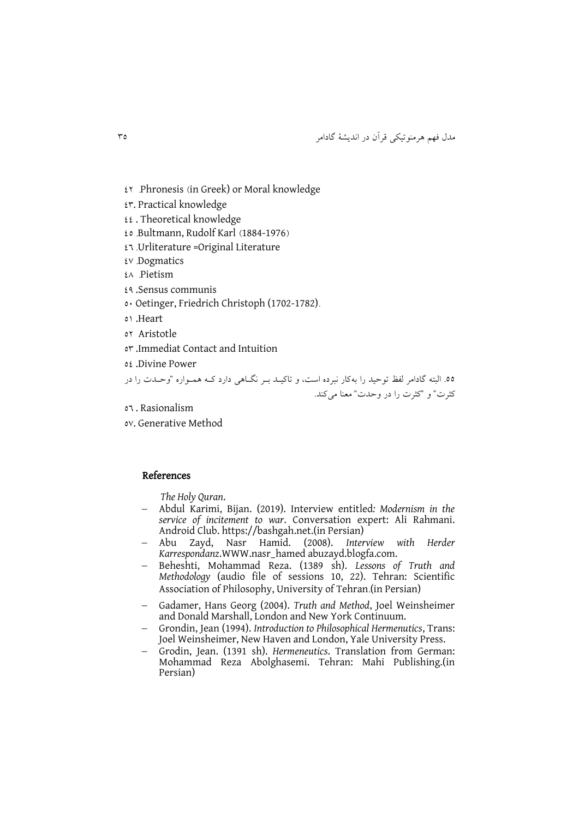مدل فهم هرمنوتیکی قرآن در انديشة گادامر 35

- 00 دPhronesis )in Greek) or Moral knowledge
- 03. Practical knowledge
- $\mathfrak{U}$ . Theoretical knowledge
- 05 دBultmann, Rudolf Karl )1884-1976(
- $E$ <sup>1</sup> Urliterature = Original Literature
- $\mathfrak{g}_v$  Dogmatics
- Pietismد 08
- 09 .Sensus communis
- 54 Oetinger, Friedrich Christoph (1702-1782)د
- 50 .Heart
- or Aristotle
- 53 .Immediat Contact and Intuition
- 50 .Divine Power

55د البته گادامر لفظ توحید را بهکار نبرده است، و تاکیکد بکر نگکاهی دارد ککه همکواره "وحکدآ را در کثرت" و "کثرت را در وحدت" معنا میکند.

- 56 . Rasionalism
- 57. Generative Method

### References

*The Holy Quran*.

- Abdul Karimi, Bijan. (2019). Interview entitled*: Modernism in the service of incitement to war*. Conversation expert: Ali Rahmani. Android Club. [https://bashgah.net.](https://bashgah.net/)(in Persian)
- Abu Zayd, Nasr Hamid. (2008). *Interview with Herder Karrespondanz*.WWW.nasr\_hamed abuzayd.blogfa.com.
- Beheshti, Mohammad Reza. (1389 sh). *Lessons of Truth and Methodology* (audio file of sessions 10, 22). Tehran: Scientific Association of Philosophy, University of Tehran.(in Persian)
- Gadamer, Hans Georg (2004). *Truth and Method*, Joel Weinsheimer and Donald Marshall, London and New York Continuum.
- Grondin, Jean (1994). *Introduction to Philosophical Hermenutics*, Trans: Joel Weinsheimer, New Haven and London, Yale University Press.
- Grodin, Jean. (1391 sh). *Hermeneutics*. Translation from German: Mohammad Reza Abolghasemi. Tehran: Mahi Publishing.(in Persian)